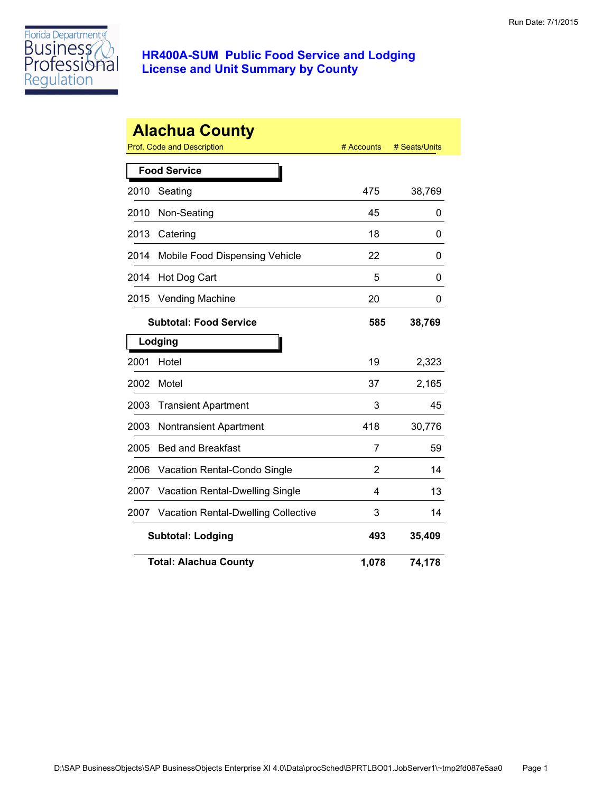

|      | <b>Alachua County</b><br><b>Prof. Code and Description</b> | # Accounts | # Seats/Units |
|------|------------------------------------------------------------|------------|---------------|
|      | <b>Food Service</b>                                        |            |               |
| 2010 | Seating                                                    | 475        | 38,769        |
| 2010 | Non-Seating                                                | 45         | 0             |
| 2013 | Catering                                                   | 18         | 0             |
| 2014 | Mobile Food Dispensing Vehicle                             | 22         | 0             |
| 2014 | Hot Dog Cart                                               | 5          | 0             |
| 2015 | <b>Vending Machine</b>                                     | 20         | 0             |
|      | <b>Subtotal: Food Service</b>                              | 585        | 38,769        |
|      | Lodging                                                    |            |               |
| 2001 | Hotel                                                      | 19         | 2,323         |
| 2002 | Motel                                                      | 37         | 2,165         |
| 2003 | <b>Transient Apartment</b>                                 | 3          | 45            |
| 2003 | <b>Nontransient Apartment</b>                              | 418        | 30,776        |
| 2005 | <b>Bed and Breakfast</b>                                   | 7          | 59            |
| 2006 | Vacation Rental-Condo Single                               | 2          | 14            |
| 2007 | Vacation Rental-Dwelling Single                            | 4          | 13            |
| 2007 | <b>Vacation Rental-Dwelling Collective</b>                 | 3          | 14            |
|      | <b>Subtotal: Lodging</b>                                   | 493        | 35,409        |
|      | <b>Total: Alachua County</b>                               | 1,078      | 74,178        |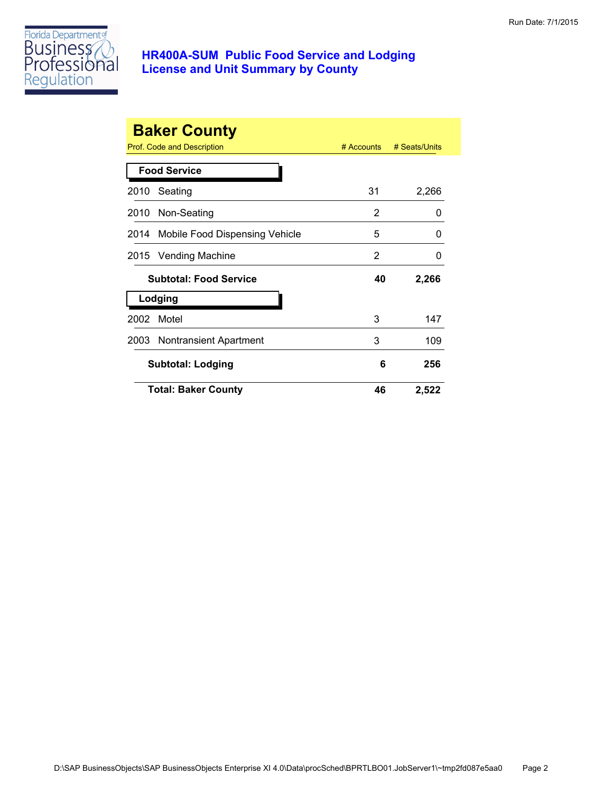

|      | <b>Baker County</b><br>Prof. Code and Description | $#$ Accounts | # Seats/Units |
|------|---------------------------------------------------|--------------|---------------|
|      | <b>Food Service</b>                               |              |               |
| 2010 | Seating                                           | 31           | 2,266         |
|      | 2010 Non-Seating                                  | 2            | 0             |
|      | 2014 Mobile Food Dispensing Vehicle               | 5            | 0             |
| 2015 | Vending Machine                                   | 2            | 0             |
|      | <b>Subtotal: Food Service</b>                     | 40           | 2,266         |
|      | Lodging                                           |              |               |
| 2002 | Motel                                             | 3            | 147           |
|      | 2003 Nontransient Apartment                       | 3            | 109           |
|      | <b>Subtotal: Lodging</b>                          | 6            | 256           |
|      | <b>Total: Baker County</b>                        | 46           | 2,522         |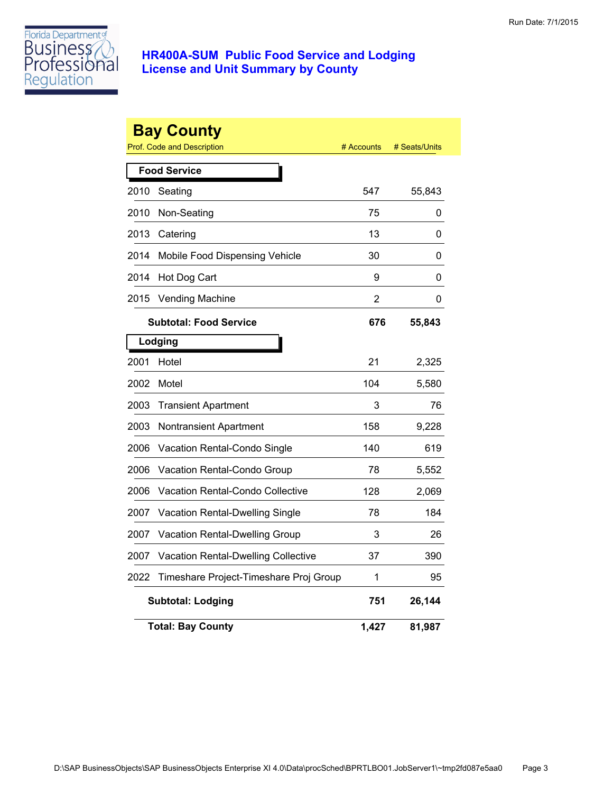

|      | <b>Bay County</b><br><b>Prof. Code and Description</b> | # Accounts | # Seats/Units |
|------|--------------------------------------------------------|------------|---------------|
|      | <b>Food Service</b>                                    |            |               |
| 2010 | Seating                                                | 547        | 55,843        |
| 2010 | Non-Seating                                            | 75         | 0             |
| 2013 | Catering                                               | 13         | 0             |
| 2014 | Mobile Food Dispensing Vehicle                         | 30         | 0             |
| 2014 | Hot Dog Cart                                           | 9          | 0             |
| 2015 | <b>Vending Machine</b>                                 | 2          | 0             |
|      | <b>Subtotal: Food Service</b>                          | 676        | 55,843        |
|      | Lodging                                                |            |               |
| 2001 | Hotel                                                  | 21         | 2,325         |
| 2002 | Motel                                                  | 104        | 5,580         |
| 2003 | <b>Transient Apartment</b>                             | 3          | 76            |
| 2003 | Nontransient Apartment                                 | 158        | 9,228         |
| 2006 | Vacation Rental-Condo Single                           | 140        | 619           |
| 2006 | Vacation Rental-Condo Group                            | 78         | 5,552         |
| 2006 | <b>Vacation Rental-Condo Collective</b>                | 128        | 2,069         |
| 2007 | Vacation Rental-Dwelling Single                        | 78         | 184           |
| 2007 | Vacation Rental-Dwelling Group                         | 3          | 26            |
| 2007 | <b>Vacation Rental-Dwelling Collective</b>             | 37         | 390           |
| 2022 | Timeshare Project-Timeshare Proj Group                 | 1          | 95            |
|      | <b>Subtotal: Lodging</b>                               | 751        | 26,144        |
|      | <b>Total: Bay County</b>                               | 1,427      | 81,987        |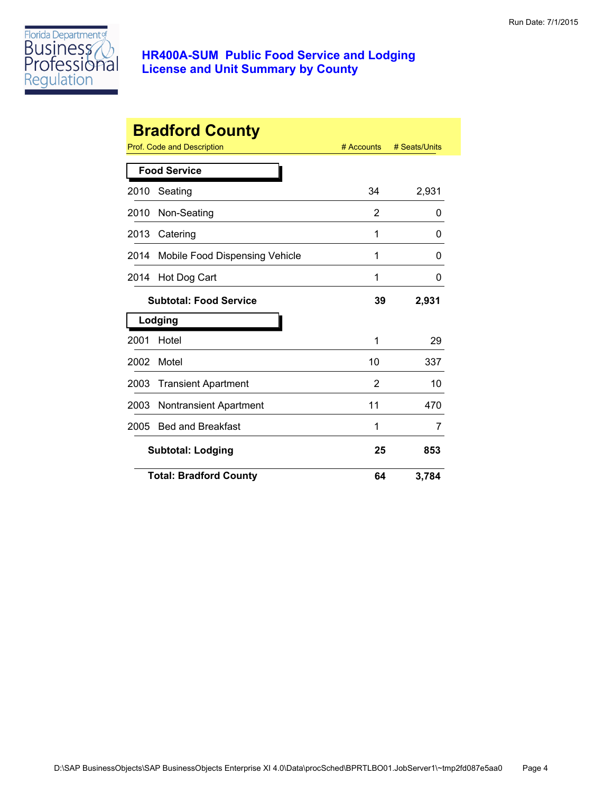

|      | <b>Bradford County</b>         |            |               |
|------|--------------------------------|------------|---------------|
|      | Prof. Code and Description     | # Accounts | # Seats/Units |
|      | <b>Food Service</b>            |            |               |
| 2010 | Seating                        | 34         | 2,931         |
| 2010 | Non-Seating                    | 2          | 0             |
| 2013 | Catering                       | 1          | 0             |
| 2014 | Mobile Food Dispensing Vehicle | 1          | 0             |
| 2014 | Hot Dog Cart                   | 1          | 0             |
|      | <b>Subtotal: Food Service</b>  | 39         | 2,931         |
|      | Lodging                        |            |               |
| 2001 | Hotel                          | 1          | 29            |
| 2002 | Motel                          | 10         | 337           |
| 2003 | <b>Transient Apartment</b>     | 2          | 10            |
| 2003 | <b>Nontransient Apartment</b>  | 11         | 470           |
| 2005 | <b>Bed and Breakfast</b>       | 1          | 7             |
|      | <b>Subtotal: Lodging</b>       | 25         | 853           |
|      | <b>Total: Bradford County</b>  | 64         | 3,784         |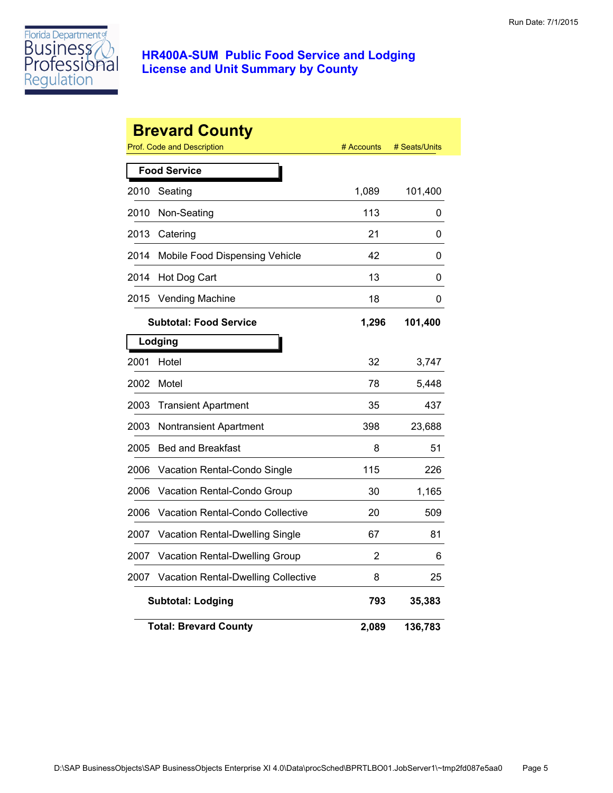

|      | <b>Brevard County</b><br>Prof. Code and Description | # Accounts | # Seats/Units |
|------|-----------------------------------------------------|------------|---------------|
|      | <b>Food Service</b>                                 |            |               |
| 2010 | Seating                                             | 1,089      | 101,400       |
| 2010 | Non-Seating                                         | 113        | 0             |
| 2013 | Catering                                            | 21         | 0             |
| 2014 | Mobile Food Dispensing Vehicle                      | 42         | 0             |
| 2014 | Hot Dog Cart                                        | 13         | 0             |
| 2015 | <b>Vending Machine</b>                              | 18         | 0             |
|      | <b>Subtotal: Food Service</b>                       | 1,296      | 101,400       |
|      | Lodging                                             |            |               |
| 2001 | Hotel                                               | 32         | 3,747         |
| 2002 | Motel                                               | 78         | 5,448         |
| 2003 | <b>Transient Apartment</b>                          | 35         | 437           |
| 2003 | Nontransient Apartment                              | 398        | 23,688        |
| 2005 | <b>Bed and Breakfast</b>                            | 8          | 51            |
| 2006 | Vacation Rental-Condo Single                        | 115        | 226           |
| 2006 | Vacation Rental-Condo Group                         | 30         | 1,165         |
| 2006 | <b>Vacation Rental-Condo Collective</b>             | 20         | 509           |
| 2007 | Vacation Rental-Dwelling Single                     | 67         | 81            |
| 2007 | Vacation Rental-Dwelling Group                      | 2          | 6             |
| 2007 | <b>Vacation Rental-Dwelling Collective</b>          | 8          | 25            |
|      | <b>Subtotal: Lodging</b>                            | 793        | 35,383        |
|      | <b>Total: Brevard County</b>                        | 2,089      | 136,783       |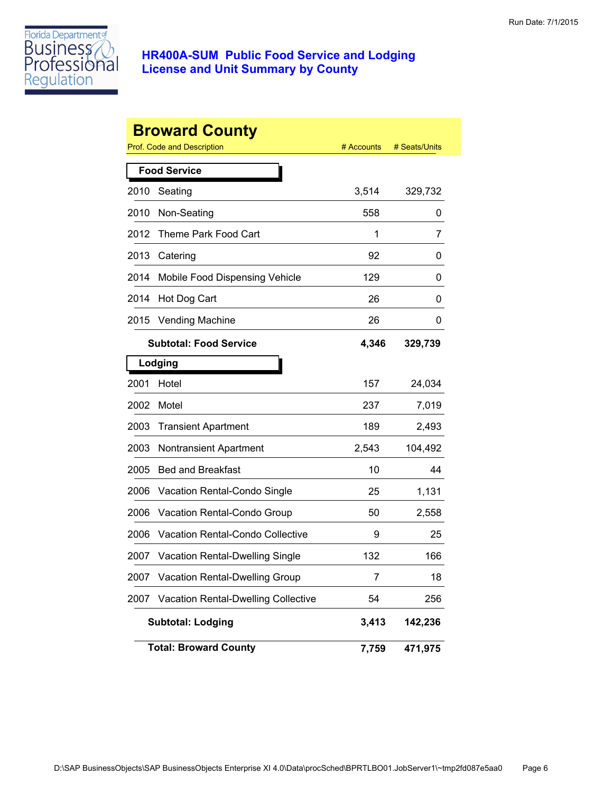

|      | <b>Broward County</b>                      |            |               |
|------|--------------------------------------------|------------|---------------|
|      | <b>Prof. Code and Description</b>          | # Accounts | # Seats/Units |
|      | <b>Food Service</b>                        |            |               |
| 2010 | Seating                                    | 3,514      | 329,732       |
| 2010 | Non-Seating                                | 558        | 0             |
| 2012 | Theme Park Food Cart                       | 1          | 7             |
| 2013 | Catering                                   | 92         | 0             |
| 2014 | Mobile Food Dispensing Vehicle             | 129        | 0             |
| 2014 | Hot Dog Cart                               | 26         | 0             |
| 2015 | <b>Vending Machine</b>                     | 26         | 0             |
|      | <b>Subtotal: Food Service</b>              | 4,346      | 329,739       |
|      | Lodging                                    |            |               |
| 2001 | Hotel                                      | 157        | 24,034        |
| 2002 | Motel                                      | 237        | 7,019         |
| 2003 | <b>Transient Apartment</b>                 | 189        | 2,493         |
| 2003 | <b>Nontransient Apartment</b>              | 2,543      | 104,492       |
| 2005 | <b>Bed and Breakfast</b>                   | 10         | 44            |
| 2006 | Vacation Rental-Condo Single               | 25         | 1,131         |
| 2006 | Vacation Rental-Condo Group                | 50         | 2,558         |
| 2006 | Vacation Rental-Condo Collective           | 9          | 25            |
| 2007 | <b>Vacation Rental-Dwelling Single</b>     | 132        | 166           |
| 2007 | Vacation Rental-Dwelling Group             | 7          | 18            |
| 2007 | <b>Vacation Rental-Dwelling Collective</b> | 54         | 256           |
|      | <b>Subtotal: Lodging</b>                   | 3,413      | 142,236       |
|      | <b>Total: Broward County</b>               | 7,759      | 471,975       |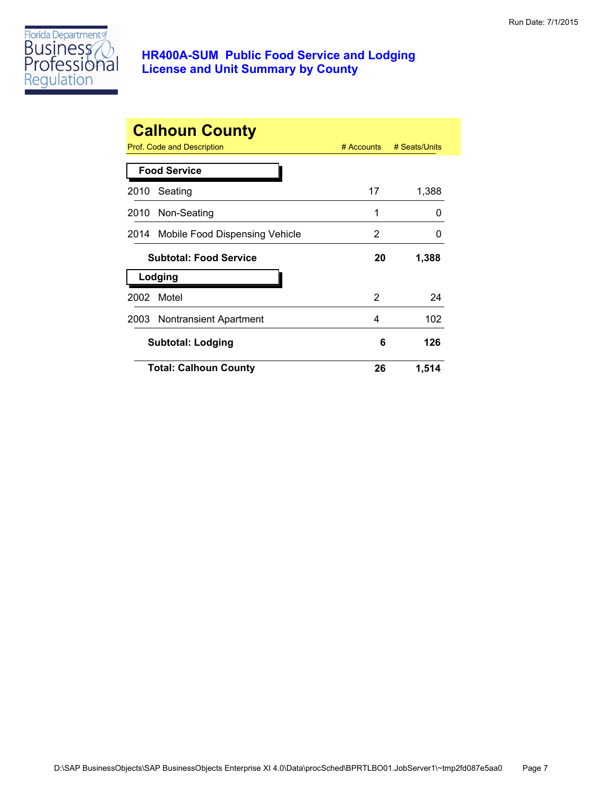

|      | <b>Calhoun County</b><br>Prof. Code and Description | $#$ Accounts | # Seats/Units |
|------|-----------------------------------------------------|--------------|---------------|
|      | <b>Food Service</b>                                 |              |               |
| 2010 | Seating                                             | 17           | 1,388         |
|      | 2010 Non-Seating                                    | 1            | O             |
|      | 2014 Mobile Food Dispensing Vehicle                 | 2            | O             |
|      | <b>Subtotal: Food Service</b>                       | 20           | 1,388         |
|      | Lodging                                             |              |               |
| 2002 | Motel                                               | 2            | 24            |
|      | 2003 Nontransient Apartment                         | 4            | 102           |
|      | <b>Subtotal: Lodging</b>                            | 6            | 126           |
|      | <b>Total: Calhoun County</b>                        | 26           | 1,514         |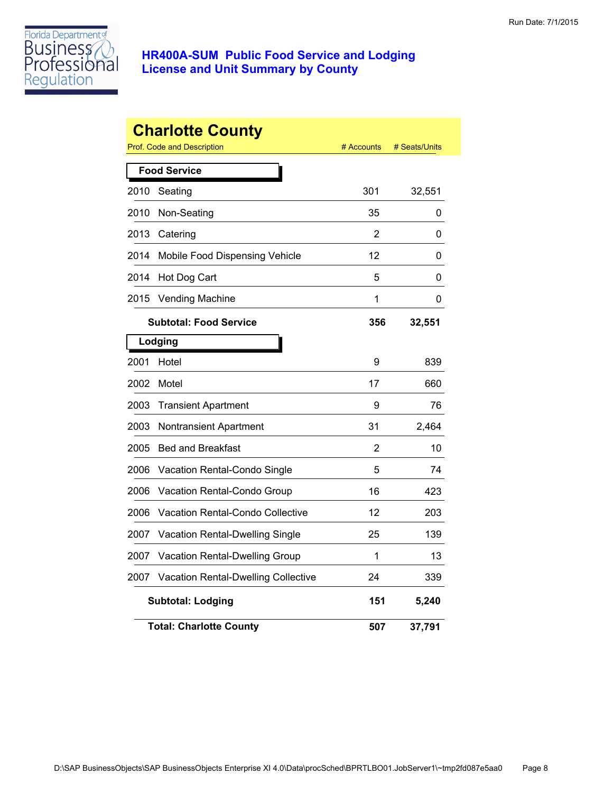

|      | <b>Charlotte County</b><br>Prof. Code and Description | # Accounts | # Seats/Units |
|------|-------------------------------------------------------|------------|---------------|
|      | <b>Food Service</b>                                   |            |               |
| 2010 | Seating                                               | 301        | 32,551        |
| 2010 | Non-Seating                                           | 35         | 0             |
| 2013 | Catering                                              | 2          | 0             |
| 2014 | Mobile Food Dispensing Vehicle                        | 12         | 0             |
| 2014 | Hot Dog Cart                                          | 5          | 0             |
| 2015 | <b>Vending Machine</b>                                | 1          | 0             |
|      | <b>Subtotal: Food Service</b>                         | 356        | 32,551        |
|      | Lodging                                               |            |               |
| 2001 | Hotel                                                 | 9          | 839           |
| 2002 | Motel                                                 | 17         | 660           |
| 2003 | <b>Transient Apartment</b>                            | 9          | 76            |
| 2003 | Nontransient Apartment                                | 31         | 2,464         |
| 2005 | <b>Bed and Breakfast</b>                              | 2          | 10            |
| 2006 | Vacation Rental-Condo Single                          | 5          | 74            |
| 2006 | Vacation Rental-Condo Group                           | 16         | 423           |
| 2006 | Vacation Rental-Condo Collective                      | 12         | 203           |
| 2007 | Vacation Rental-Dwelling Single                       | 25         | 139           |
| 2007 | Vacation Rental-Dwelling Group                        | 1          | 13            |
| 2007 | Vacation Rental-Dwelling Collective                   | 24         | 339           |
|      | <b>Subtotal: Lodging</b>                              | 151        | 5,240         |
|      | <b>Total: Charlotte County</b>                        | 507        | 37,791        |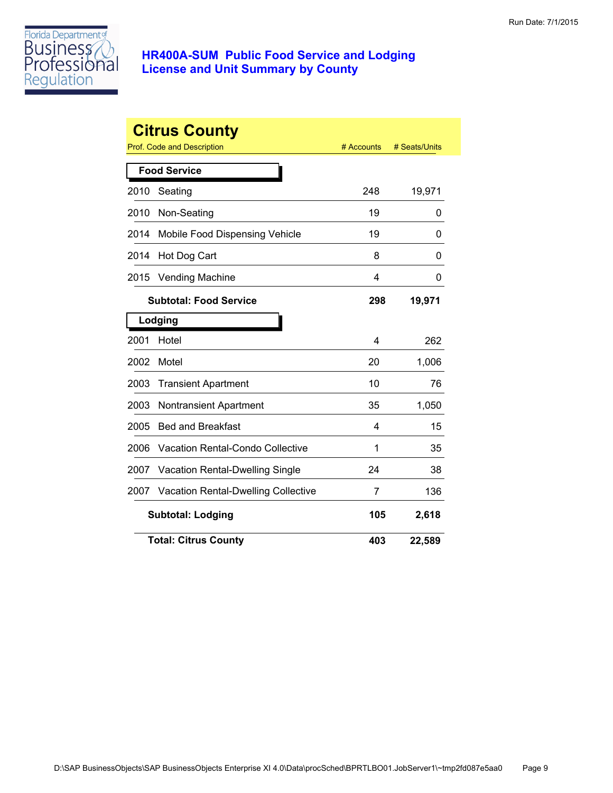

| <b>Citrus County</b> |                                            |            |               |  |
|----------------------|--------------------------------------------|------------|---------------|--|
|                      | <b>Prof. Code and Description</b>          | # Accounts | # Seats/Units |  |
|                      | <b>Food Service</b>                        |            |               |  |
| 2010                 | Seating                                    | 248        | 19,971        |  |
| 2010                 | Non-Seating                                | 19         | 0             |  |
| 2014                 | Mobile Food Dispensing Vehicle             | 19         | 0             |  |
| 2014                 | Hot Dog Cart                               | 8          | 0             |  |
| 2015                 | <b>Vending Machine</b>                     | 4          | 0             |  |
|                      | <b>Subtotal: Food Service</b>              | 298        | 19,971        |  |
|                      | Lodging                                    |            |               |  |
| 2001                 | Hotel                                      | 4          | 262           |  |
| 2002                 | Motel                                      | 20         | 1,006         |  |
| 2003                 | <b>Transient Apartment</b>                 | 10         | 76            |  |
| 2003                 | <b>Nontransient Apartment</b>              | 35         | 1,050         |  |
| 2005                 | <b>Bed and Breakfast</b>                   | 4          | 15            |  |
| 2006                 | <b>Vacation Rental-Condo Collective</b>    | 1          | 35            |  |
| 2007                 | Vacation Rental-Dwelling Single            | 24         | 38            |  |
| 2007                 | <b>Vacation Rental-Dwelling Collective</b> | 7          | 136           |  |
|                      | <b>Subtotal: Lodging</b>                   | 105        | 2,618         |  |
|                      | <b>Total: Citrus County</b>                | 403        | 22,589        |  |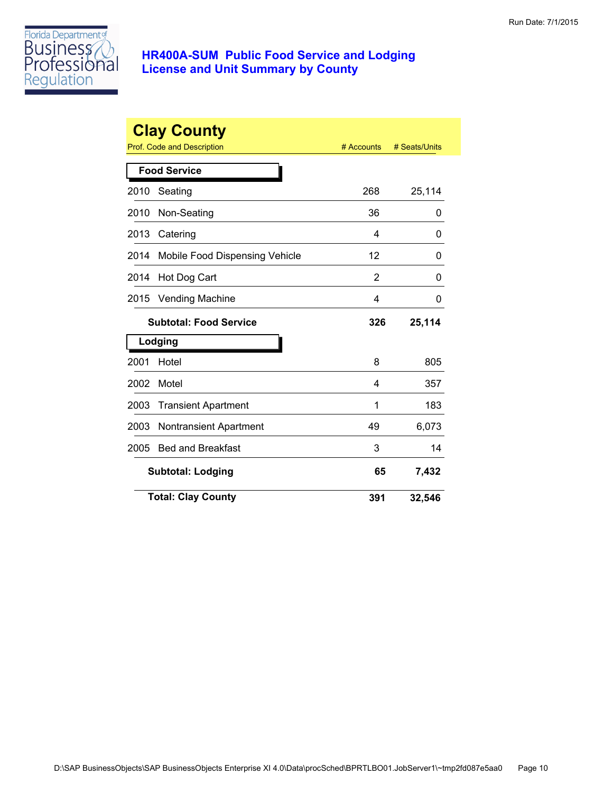

| <b>Clay County</b><br>Prof. Code and Description<br># Accounts<br># Seats/Units |                                |     |        |  |
|---------------------------------------------------------------------------------|--------------------------------|-----|--------|--|
|                                                                                 | <b>Food Service</b>            |     |        |  |
| 2010                                                                            | Seating                        | 268 | 25,114 |  |
| 2010                                                                            | Non-Seating                    | 36  | 0      |  |
| 2013                                                                            | Catering                       | 4   | 0      |  |
| 2014                                                                            | Mobile Food Dispensing Vehicle | 12  | 0      |  |
| 2014                                                                            | Hot Dog Cart                   | 2   | 0      |  |
| 2015                                                                            | <b>Vending Machine</b>         | 4   | 0      |  |
|                                                                                 | <b>Subtotal: Food Service</b>  | 326 | 25,114 |  |
|                                                                                 | Lodging                        |     |        |  |
| 2001                                                                            | Hotel                          | 8   | 805    |  |
| 2002                                                                            | Motel                          | 4   | 357    |  |
| 2003                                                                            | <b>Transient Apartment</b>     | 1   | 183    |  |
| 2003                                                                            | Nontransient Apartment         | 49  | 6,073  |  |
| 2005                                                                            | <b>Bed and Breakfast</b>       | 3   | 14     |  |
|                                                                                 | <b>Subtotal: Lodging</b>       | 65  | 7,432  |  |
|                                                                                 | <b>Total: Clay County</b>      | 391 | 32,546 |  |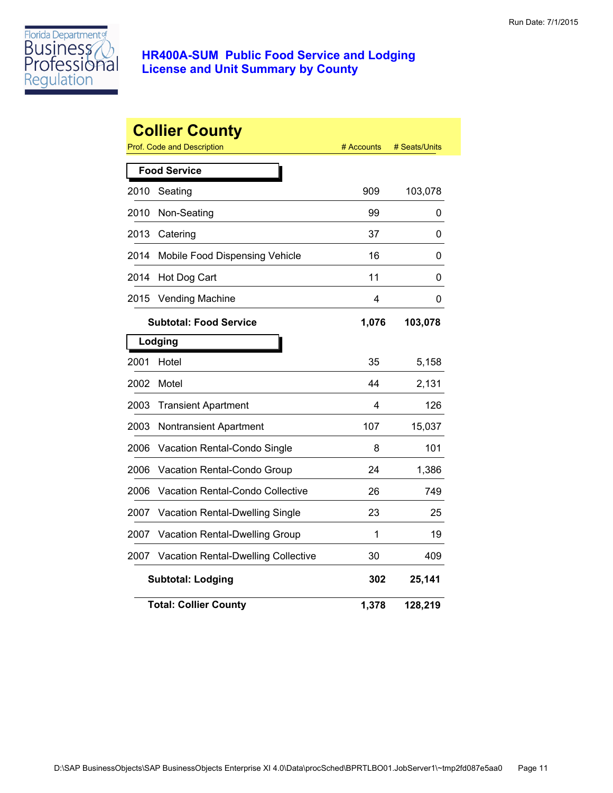

|      | <b>Collier County</b><br>Prof. Code and Description | # Accounts | # Seats/Units |
|------|-----------------------------------------------------|------------|---------------|
|      | <b>Food Service</b>                                 |            |               |
| 2010 | Seating                                             | 909        | 103,078       |
| 2010 | Non-Seating                                         | 99         | 0             |
| 2013 | Catering                                            | 37         | 0             |
| 2014 | Mobile Food Dispensing Vehicle                      | 16         | 0             |
| 2014 | Hot Dog Cart                                        | 11         | 0             |
| 2015 | <b>Vending Machine</b>                              | 4          | 0             |
|      | <b>Subtotal: Food Service</b>                       | 1,076      | 103,078       |
|      | Lodging                                             |            |               |
| 2001 | Hotel                                               | 35         | 5,158         |
| 2002 | Motel                                               | 44         | 2,131         |
| 2003 | <b>Transient Apartment</b>                          | 4          | 126           |
| 2003 | Nontransient Apartment                              | 107        | 15,037        |
| 2006 | Vacation Rental-Condo Single                        | 8          | 101           |
| 2006 | Vacation Rental-Condo Group                         | 24         | 1,386         |
| 2006 | Vacation Rental-Condo Collective                    | 26         | 749           |
| 2007 | Vacation Rental-Dwelling Single                     | 23         | 25            |
| 2007 | Vacation Rental-Dwelling Group                      | 1          | 19            |
| 2007 | <b>Vacation Rental-Dwelling Collective</b>          | 30         | 409           |
|      | <b>Subtotal: Lodging</b>                            | 302        | 25,141        |
|      | <b>Total: Collier County</b>                        | 1,378      | 128,219       |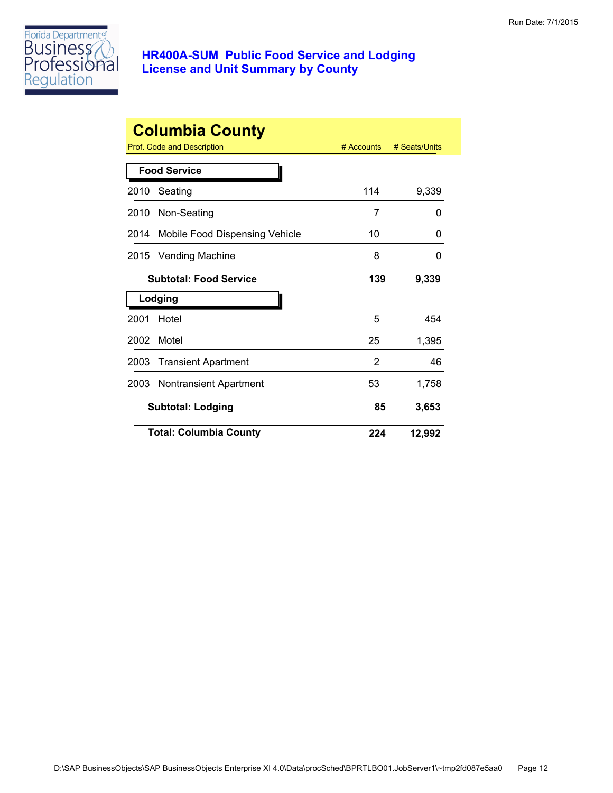

|      | <b>Columbia County</b>         |              |               |
|------|--------------------------------|--------------|---------------|
|      | Prof. Code and Description     | $#$ Accounts | # Seats/Units |
|      | <b>Food Service</b>            |              |               |
| 2010 | Seating                        | 114          | 9,339         |
| 2010 | Non-Seating                    | 7            | 0             |
| 2014 | Mobile Food Dispensing Vehicle | 10           | O             |
| 2015 | <b>Vending Machine</b>         | 8            | 0             |
|      | <b>Subtotal: Food Service</b>  | 139          | 9,339         |
|      | Lodging                        |              |               |
| 2001 | Hotel                          | 5            | 454           |
| 2002 | Motel                          | 25           | 1,395         |
| 2003 | <b>Transient Apartment</b>     | 2            | 46            |
| 2003 | <b>Nontransient Apartment</b>  | 53           | 1,758         |
|      | <b>Subtotal: Lodging</b>       | 85           | 3,653         |
|      | <b>Total: Columbia County</b>  | 224          | 12,992        |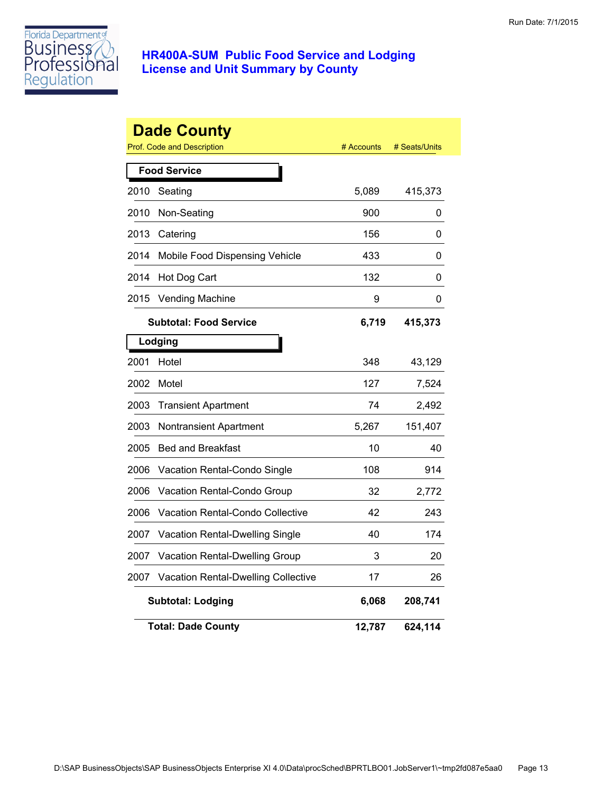

|      | <b>Dade County</b><br><b>Prof. Code and Description</b> | # Accounts | # Seats/Units |
|------|---------------------------------------------------------|------------|---------------|
|      | <b>Food Service</b>                                     |            |               |
| 2010 | Seating                                                 | 5,089      | 415,373       |
| 2010 | Non-Seating                                             | 900        | 0             |
| 2013 | Catering                                                | 156        | 0             |
| 2014 | Mobile Food Dispensing Vehicle                          | 433        | 0             |
| 2014 | Hot Dog Cart                                            | 132        | 0             |
| 2015 | <b>Vending Machine</b>                                  | 9          | 0             |
|      | <b>Subtotal: Food Service</b>                           | 6,719      | 415,373       |
|      | Lodging                                                 |            |               |
| 2001 | Hotel                                                   | 348        | 43,129        |
| 2002 | Motel                                                   | 127        | 7,524         |
| 2003 | <b>Transient Apartment</b>                              | 74         | 2,492         |
| 2003 | Nontransient Apartment                                  | 5,267      | 151,407       |
| 2005 | <b>Bed and Breakfast</b>                                | 10         | 40            |
| 2006 | Vacation Rental-Condo Single                            | 108        | 914           |
| 2006 | Vacation Rental-Condo Group                             | 32         | 2,772         |
| 2006 | <b>Vacation Rental-Condo Collective</b>                 | 42         | 243           |
| 2007 | <b>Vacation Rental-Dwelling Single</b>                  | 40         | 174           |
| 2007 | Vacation Rental-Dwelling Group                          | 3          | 20            |
| 2007 | Vacation Rental-Dwelling Collective                     | 17         | 26            |
|      | <b>Subtotal: Lodging</b>                                | 6,068      | 208,741       |
|      | <b>Total: Dade County</b>                               | 12,787     | 624,114       |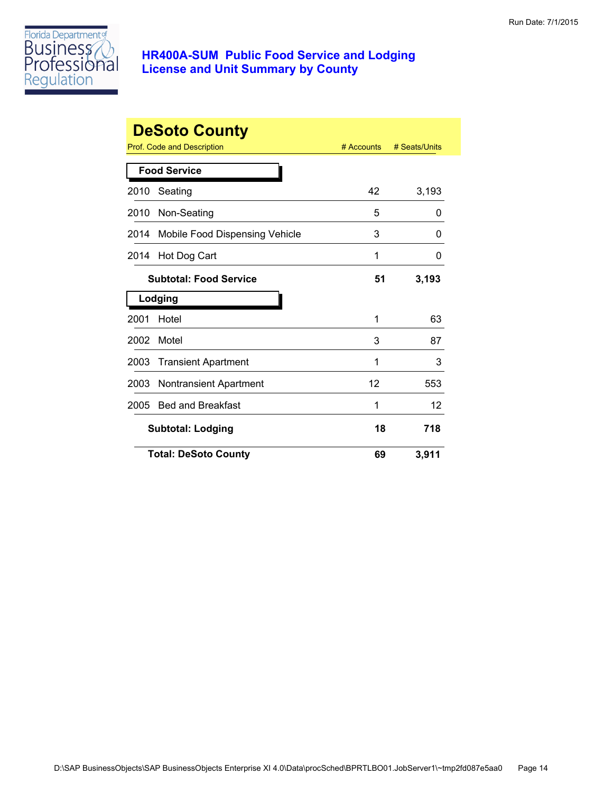

|      | <b>DeSoto County</b>           | # Accounts | # Seats/Units |
|------|--------------------------------|------------|---------------|
|      | Prof. Code and Description     |            |               |
|      | <b>Food Service</b>            |            |               |
| 2010 | Seating                        | 42         | 3,193         |
| 2010 | Non-Seating                    | 5          | 0             |
| 2014 | Mobile Food Dispensing Vehicle | 3          | 0             |
| 2014 | Hot Dog Cart                   | 1          | 0             |
|      | <b>Subtotal: Food Service</b>  | 51         | 3,193         |
|      | Lodging                        |            |               |
| 2001 | Hotel                          | 1          | 63            |
| 2002 | Motel                          | 3          | 87            |
| 2003 | <b>Transient Apartment</b>     | 1          | 3             |
| 2003 | <b>Nontransient Apartment</b>  | 12         | 553           |
| 2005 | <b>Bed and Breakfast</b>       | 1          | 12            |
|      | <b>Subtotal: Lodging</b>       | 18         | 718           |
|      | <b>Total: DeSoto County</b>    | 69         | 3,911         |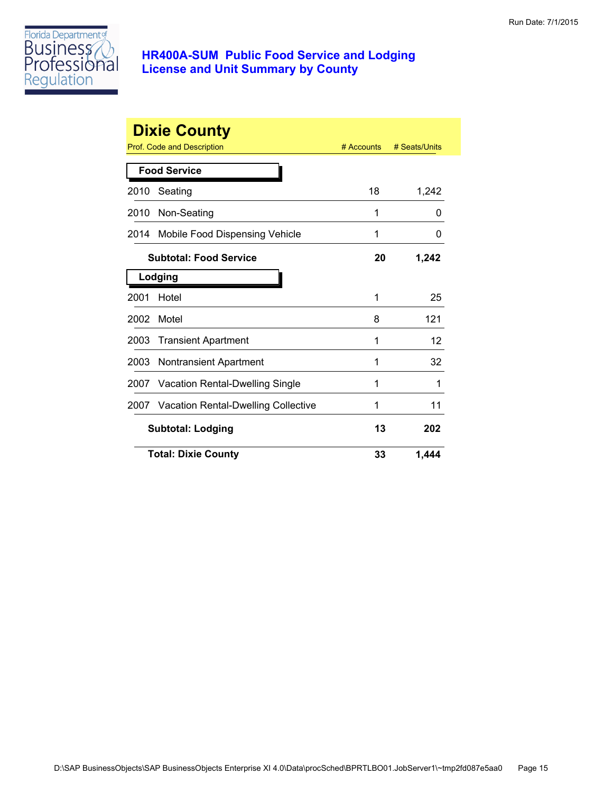

|      | <b>Dixie County</b>                        | # Accounts | # Seats/Units |
|------|--------------------------------------------|------------|---------------|
|      | <b>Prof. Code and Description</b>          |            |               |
|      | <b>Food Service</b>                        |            |               |
| 2010 | Seating                                    | 18         | 1,242         |
| 2010 | Non-Seating                                | 1          | 0             |
| 2014 | Mobile Food Dispensing Vehicle             | 1          | 0             |
|      | <b>Subtotal: Food Service</b>              | 20         | 1,242         |
|      | Lodging                                    |            |               |
| 2001 | Hotel                                      | 1          | 25            |
| 2002 | Motel                                      | 8          | 121           |
| 2003 | <b>Transient Apartment</b>                 | 1          | 12            |
| 2003 | <b>Nontransient Apartment</b>              | 1          | 32            |
| 2007 | <b>Vacation Rental-Dwelling Single</b>     | 1          | 1             |
| 2007 | <b>Vacation Rental-Dwelling Collective</b> | 1          | 11            |
|      | <b>Subtotal: Lodging</b>                   | 13         | 202           |
|      | <b>Total: Dixie County</b>                 | 33         | 1.444         |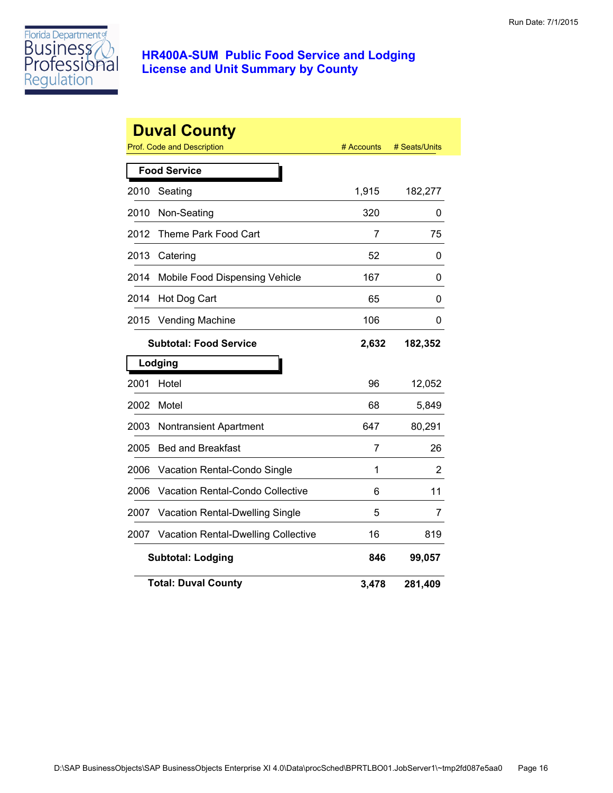

|      | <b>Duval County</b><br><b>Prof. Code and Description</b> | # Accounts     | # Seats/Units |
|------|----------------------------------------------------------|----------------|---------------|
|      | <b>Food Service</b>                                      |                |               |
| 2010 | Seating                                                  | 1,915          | 182,277       |
| 2010 | Non-Seating                                              | 320            | 0             |
| 2012 | Theme Park Food Cart                                     | $\overline{7}$ | 75            |
| 2013 | Catering                                                 | 52             | 0             |
| 2014 | Mobile Food Dispensing Vehicle                           | 167            | 0             |
| 2014 | Hot Dog Cart                                             | 65             | 0             |
| 2015 | <b>Vending Machine</b>                                   | 106            | 0             |
|      | <b>Subtotal: Food Service</b>                            | 2,632          | 182,352       |
|      | Lodging                                                  |                |               |
| 2001 | Hotel                                                    | 96             | 12,052        |
| 2002 | Motel                                                    | 68             | 5,849         |
| 2003 | <b>Nontransient Apartment</b>                            | 647            | 80,291        |
| 2005 | <b>Bed and Breakfast</b>                                 | 7              | 26            |
| 2006 | Vacation Rental-Condo Single                             | 1              | 2             |
| 2006 | <b>Vacation Rental-Condo Collective</b>                  | 6              | 11            |
| 2007 | Vacation Rental-Dwelling Single                          | 5              | 7             |
| 2007 | <b>Vacation Rental-Dwelling Collective</b>               | 16             | 819           |
|      | <b>Subtotal: Lodging</b>                                 | 846            | 99,057        |
|      | <b>Total: Duval County</b>                               | 3,478          | 281,409       |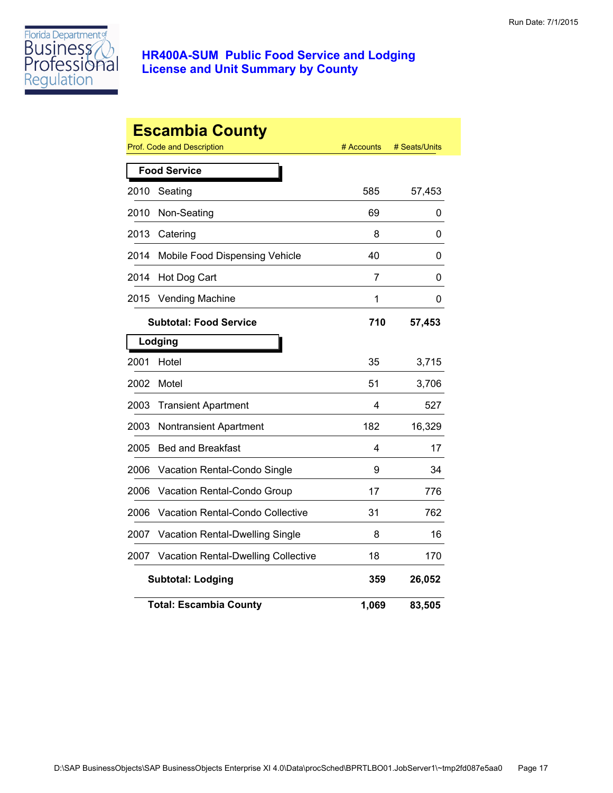

|      | <b>Escambia County</b><br>Prof. Code and Description | # Accounts | # Seats/Units |
|------|------------------------------------------------------|------------|---------------|
|      | <b>Food Service</b>                                  |            |               |
| 2010 | Seating                                              | 585        | 57,453        |
| 2010 | Non-Seating                                          | 69         | 0             |
| 2013 | Catering                                             | 8          | 0             |
| 2014 | Mobile Food Dispensing Vehicle                       | 40         | 0             |
| 2014 | Hot Dog Cart                                         | 7          | 0             |
| 2015 | <b>Vending Machine</b>                               | 1          | 0             |
|      | <b>Subtotal: Food Service</b>                        | 710        | 57,453        |
|      | Lodging                                              |            |               |
| 2001 | Hotel                                                | 35         | 3,715         |
| 2002 | Motel                                                | 51         | 3,706         |
| 2003 | <b>Transient Apartment</b>                           | 4          | 527           |
| 2003 | Nontransient Apartment                               | 182        | 16,329        |
| 2005 | <b>Bed and Breakfast</b>                             | 4          | 17            |
| 2006 | Vacation Rental-Condo Single                         | 9          | 34            |
| 2006 | Vacation Rental-Condo Group                          | 17         | 776           |
| 2006 | Vacation Rental-Condo Collective                     | 31         | 762           |
| 2007 | Vacation Rental-Dwelling Single                      | 8          | 16            |
| 2007 | <b>Vacation Rental-Dwelling Collective</b>           | 18         | 170           |
|      | <b>Subtotal: Lodging</b>                             | 359        | 26,052        |
|      | <b>Total: Escambia County</b>                        | 1,069      | 83,505        |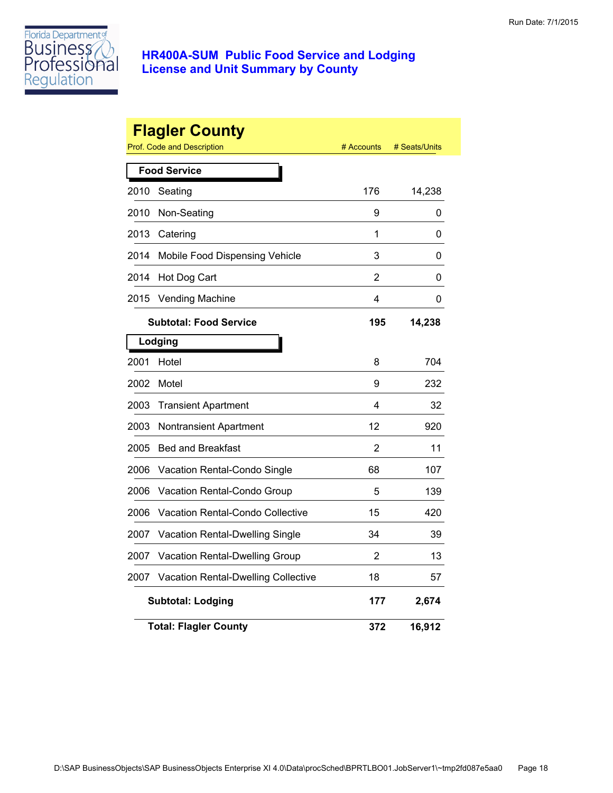

|      | <b>Flagler County</b><br>Prof. Code and Description | # Accounts | # Seats/Units |
|------|-----------------------------------------------------|------------|---------------|
|      | <b>Food Service</b>                                 |            |               |
| 2010 | Seating                                             | 176        | 14,238        |
| 2010 | Non-Seating                                         | 9          | 0             |
| 2013 | Catering                                            | 1          | 0             |
| 2014 | Mobile Food Dispensing Vehicle                      | 3          | 0             |
| 2014 | Hot Dog Cart                                        | 2          | 0             |
| 2015 | <b>Vending Machine</b>                              | 4          | 0             |
|      | <b>Subtotal: Food Service</b>                       | 195        | 14,238        |
|      | Lodging                                             |            |               |
| 2001 | Hotel                                               | 8          | 704           |
| 2002 | Motel                                               | 9          | 232           |
| 2003 | <b>Transient Apartment</b>                          | 4          | 32            |
| 2003 | <b>Nontransient Apartment</b>                       | 12         | 920           |
| 2005 | <b>Bed and Breakfast</b>                            | 2          | 11            |
| 2006 | Vacation Rental-Condo Single                        | 68         | 107           |
| 2006 | Vacation Rental-Condo Group                         | 5          | 139           |
| 2006 | Vacation Rental-Condo Collective                    | 15         | 420           |
| 2007 | Vacation Rental-Dwelling Single                     | 34         | 39            |
| 2007 | Vacation Rental-Dwelling Group                      | 2          | 13            |
| 2007 | Vacation Rental-Dwelling Collective                 | 18         | 57            |
|      | <b>Subtotal: Lodging</b>                            | 177        | 2,674         |
|      | <b>Total: Flagler County</b>                        | 372        | 16,912        |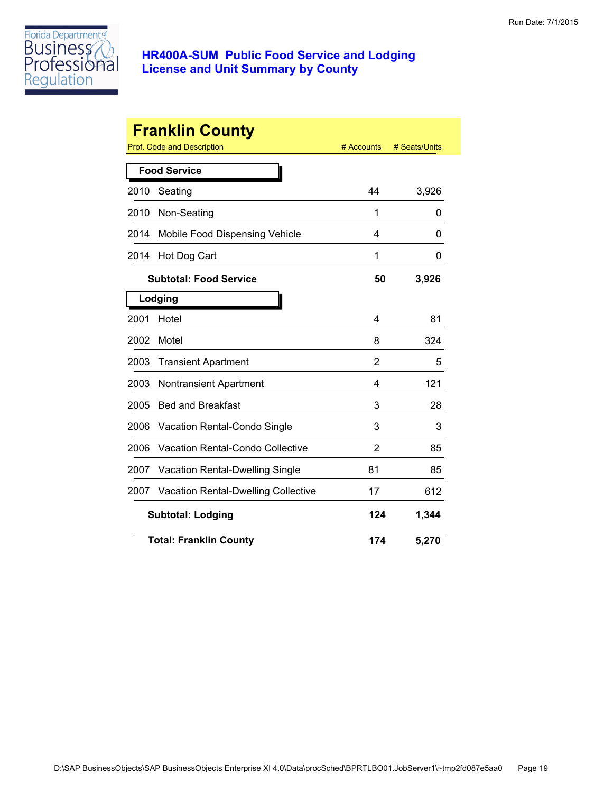

|      | <b>Franklin County</b>                  |                |               |
|------|-----------------------------------------|----------------|---------------|
|      | Prof. Code and Description              | # Accounts     | # Seats/Units |
|      | <b>Food Service</b>                     |                |               |
| 2010 | Seating                                 | 44             | 3,926         |
| 2010 | Non-Seating                             | 1              | 0             |
| 2014 | Mobile Food Dispensing Vehicle          | 4              | 0             |
| 2014 | Hot Dog Cart                            | 1              | 0             |
|      | <b>Subtotal: Food Service</b>           | 50             | 3,926         |
|      | Lodging                                 |                |               |
| 2001 | Hotel                                   | 4              | 81            |
| 2002 | Motel                                   | 8              | 324           |
| 2003 | <b>Transient Apartment</b>              | $\overline{2}$ | 5             |
| 2003 | <b>Nontransient Apartment</b>           | 4              | 121           |
| 2005 | <b>Bed and Breakfast</b>                | 3              | 28            |
| 2006 | Vacation Rental-Condo Single            | 3              | 3             |
| 2006 | <b>Vacation Rental-Condo Collective</b> | 2              | 85            |
| 2007 | Vacation Rental-Dwelling Single         | 81             | 85            |
| 2007 | Vacation Rental-Dwelling Collective     | 17             | 612           |
|      | <b>Subtotal: Lodging</b>                | 124            | 1,344         |
|      | <b>Total: Franklin County</b>           | 174            | 5,270         |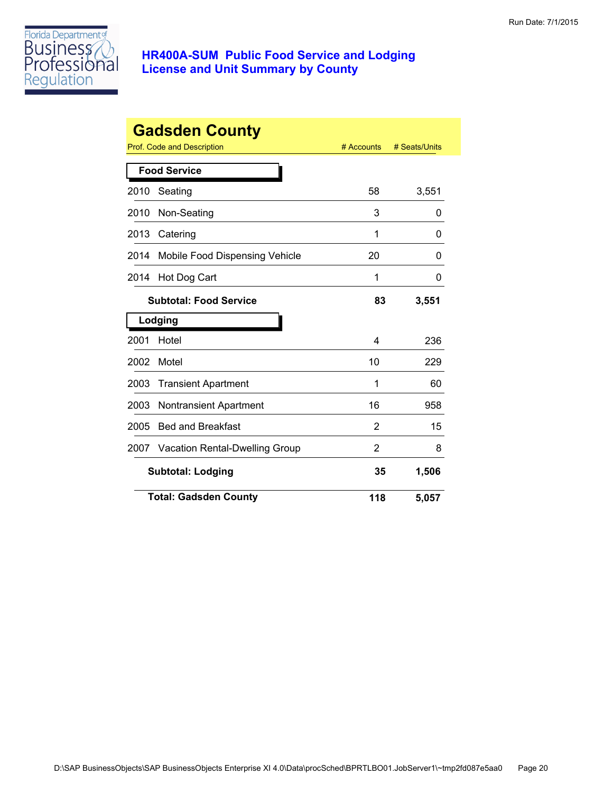

|      | <b>Gadsden County</b><br>Prof. Code and Description | # Accounts | # Seats/Units |
|------|-----------------------------------------------------|------------|---------------|
|      | <b>Food Service</b>                                 |            |               |
| 2010 | Seating                                             | 58         | 3,551         |
| 2010 | Non-Seating                                         | 3          | 0             |
| 2013 | Catering                                            | 1          | 0             |
| 2014 | Mobile Food Dispensing Vehicle                      | 20         | 0             |
| 2014 | Hot Dog Cart                                        | 1          | 0             |
|      | <b>Subtotal: Food Service</b>                       | 83         | 3,551         |
|      | Lodging                                             |            |               |
| 2001 | Hotel                                               | 4          | 236           |
| 2002 | Motel                                               | 10         | 229           |
| 2003 | <b>Transient Apartment</b>                          | 1          | 60            |
| 2003 | <b>Nontransient Apartment</b>                       | 16         | 958           |
| 2005 | <b>Bed and Breakfast</b>                            | 2          | 15            |
| 2007 | <b>Vacation Rental-Dwelling Group</b>               | 2          | 8             |
|      | <b>Subtotal: Lodging</b>                            | 35         | 1,506         |
|      | <b>Total: Gadsden County</b>                        | 118        | 5,057         |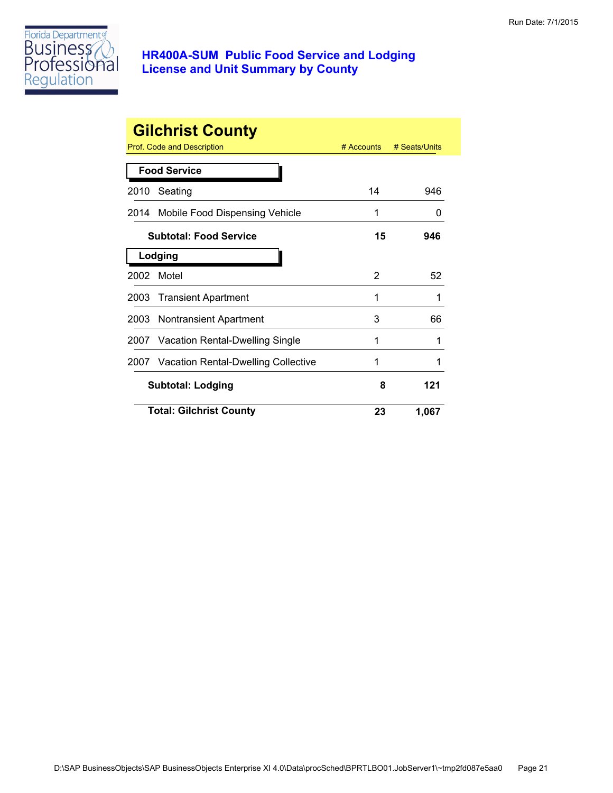

|      | <b>Gilchrist County</b><br>Prof. Code and Description | $#$ Accounts | # Seats/Units |
|------|-------------------------------------------------------|--------------|---------------|
|      | <b>Food Service</b>                                   |              |               |
| 2010 | Seating                                               | 14           | 946           |
|      | 2014 Mobile Food Dispensing Vehicle                   | 1            | 0             |
|      | <b>Subtotal: Food Service</b>                         | 15           | 946           |
|      | Lodging                                               |              |               |
| 2002 | Motel                                                 | 2            | 52            |
| 2003 | <b>Transient Apartment</b>                            | 1            | 1             |
|      | 2003 Nontransient Apartment                           | 3            | 66            |
|      | 2007 Vacation Rental-Dwelling Single                  | 1            | 1             |
|      | 2007 Vacation Rental-Dwelling Collective              |              |               |
|      | <b>Subtotal: Lodging</b>                              | 8            | 121           |
|      | <b>Total: Gilchrist County</b>                        | 23           | 1,067         |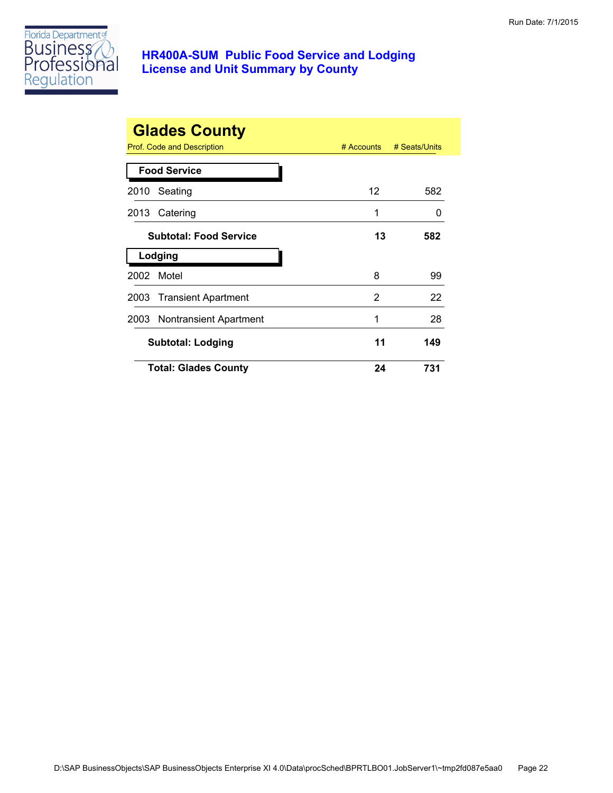

|      | <b>Glades County</b><br>Prof. Code and Description | $#$ Accounts | # Seats/Units |
|------|----------------------------------------------------|--------------|---------------|
|      | <b>Food Service</b>                                |              |               |
| 2010 | Seating                                            | 12           | 582           |
|      | 2013 Catering                                      | 1            | $\mathbf{0}$  |
|      | <b>Subtotal: Food Service</b>                      | 13           | 582           |
|      | Lodging                                            |              |               |
| 2002 | Motel                                              | 8            | 99            |
|      | 2003 Transient Apartment                           | 2            | 22            |
|      | 2003 Nontransient Apartment                        | 1            | 28            |
|      | <b>Subtotal: Lodging</b>                           | 11           | 149           |
|      | <b>Total: Glades County</b>                        | 24           | 731           |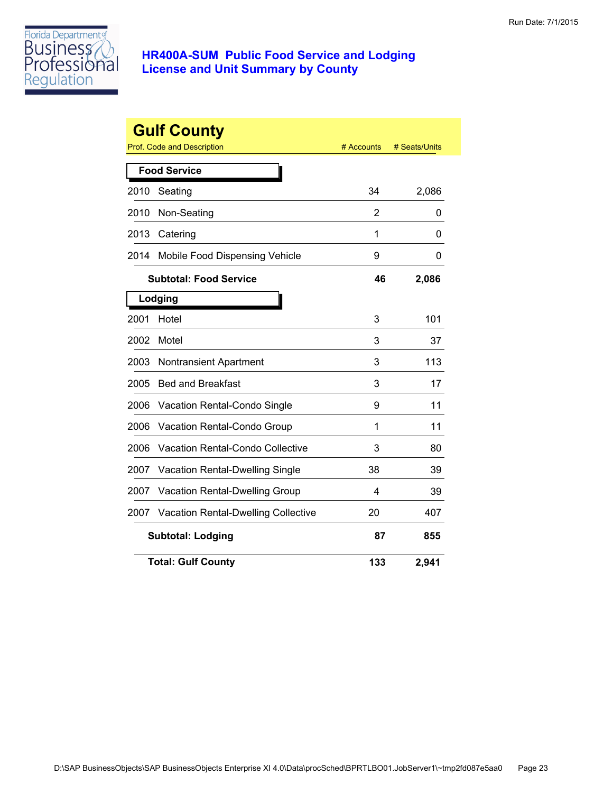

|      | <b>Gulf County</b><br><b>Prof. Code and Description</b> | # Accounts     | # Seats/Units |
|------|---------------------------------------------------------|----------------|---------------|
|      | <b>Food Service</b>                                     |                |               |
| 2010 | Seating                                                 | 34             | 2,086         |
| 2010 | Non-Seating                                             | $\overline{2}$ | 0             |
| 2013 | Catering                                                | 1              | 0             |
| 2014 | Mobile Food Dispensing Vehicle                          | 9              | 0             |
|      | <b>Subtotal: Food Service</b>                           | 46             | 2,086         |
|      | Lodging                                                 |                |               |
| 2001 | Hotel                                                   | 3              | 101           |
| 2002 | Motel                                                   | 3              | 37            |
| 2003 | <b>Nontransient Apartment</b>                           | 3              | 113           |
| 2005 | <b>Bed and Breakfast</b>                                | 3              | 17            |
| 2006 | Vacation Rental-Condo Single                            | 9              | 11            |
| 2006 | Vacation Rental-Condo Group                             | 1              | 11            |
| 2006 | <b>Vacation Rental-Condo Collective</b>                 | 3              | 80            |
| 2007 | <b>Vacation Rental-Dwelling Single</b>                  | 38             | 39            |
| 2007 | Vacation Rental-Dwelling Group                          | 4              | 39            |
| 2007 | <b>Vacation Rental-Dwelling Collective</b>              | 20             | 407           |
|      | <b>Subtotal: Lodging</b>                                | 87             | 855           |
|      | <b>Total: Gulf County</b>                               | 133            | 2,941         |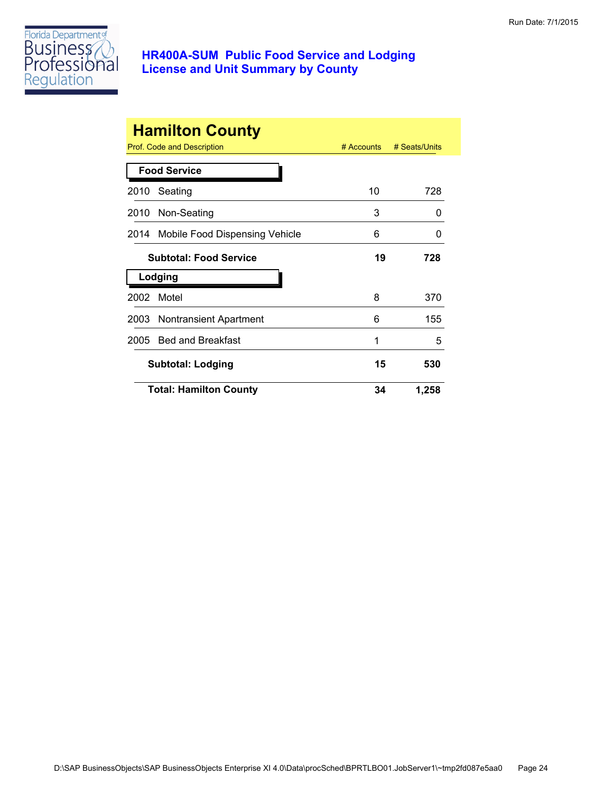

|      | <b>Hamilton County</b><br>Prof. Code and Description | $#$ Accounts | # Seats/Units |
|------|------------------------------------------------------|--------------|---------------|
|      | <b>Food Service</b>                                  |              |               |
| 2010 | Seating                                              | 10           | 728           |
|      | 2010 Non-Seating                                     | 3            | 0             |
|      | 2014 Mobile Food Dispensing Vehicle                  | 6            | 0             |
|      | <b>Subtotal: Food Service</b>                        | 19           | 728           |
|      | Lodging                                              |              |               |
| 2002 | Motel                                                | 8            | 370           |
|      | 2003 Nontransient Apartment                          | 6            | 155           |
| 2005 | <b>Bed and Breakfast</b>                             | 1            | 5             |
|      | <b>Subtotal: Lodging</b>                             | 15           | 530           |
|      | <b>Total: Hamilton County</b>                        | 34           | 1,258         |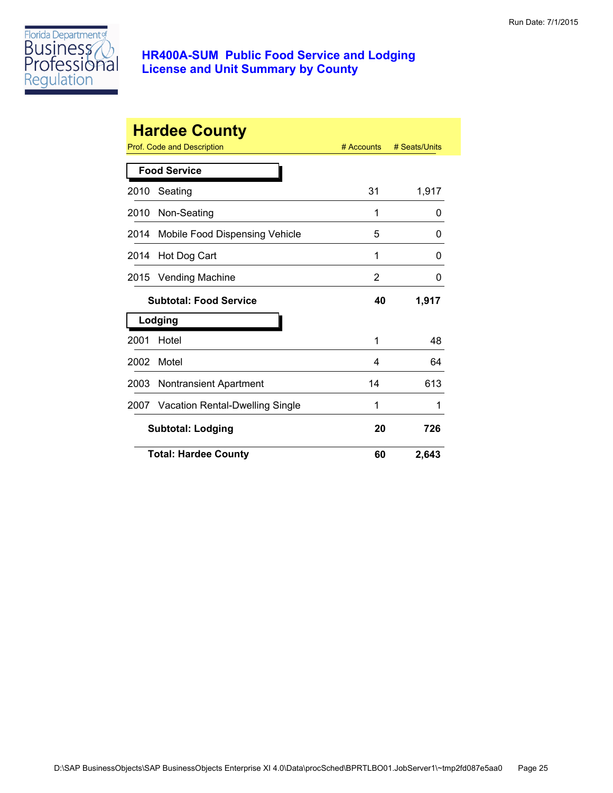

|      | <b>Hardee County</b>            |                |               |
|------|---------------------------------|----------------|---------------|
|      | Prof. Code and Description      | $#$ Accounts   | # Seats/Units |
|      | <b>Food Service</b>             |                |               |
| 2010 | Seating                         | 31             | 1,917         |
| 2010 | Non-Seating                     | 1              | 0             |
| 2014 | Mobile Food Dispensing Vehicle  | 5              | 0             |
| 2014 | Hot Dog Cart                    | 1              | 0             |
| 2015 | Vending Machine                 | $\overline{2}$ | 0             |
|      | <b>Subtotal: Food Service</b>   | 40             | 1,917         |
|      | Lodging                         |                |               |
| 2001 | Hotel                           | 1              | 48            |
| 2002 | Motel                           | 4              | 64            |
| 2003 | <b>Nontransient Apartment</b>   | 14             | 613           |
| 2007 | Vacation Rental-Dwelling Single | 1              | 1             |
|      | <b>Subtotal: Lodging</b>        | 20             | 726           |
|      | <b>Total: Hardee County</b>     | 60             | 2,643         |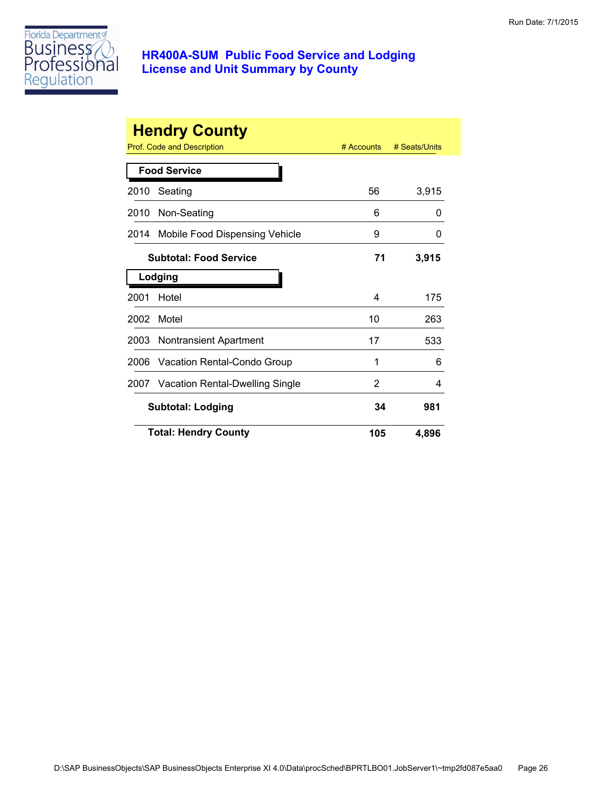

|      | <b>Hendry County</b>            |            |               |
|------|---------------------------------|------------|---------------|
|      | Prof. Code and Description      | # Accounts | # Seats/Units |
|      | <b>Food Service</b>             |            |               |
| 2010 | Seating                         | 56         | 3,915         |
| 2010 | Non-Seating                     | 6          | O             |
| 2014 | Mobile Food Dispensing Vehicle  | 9          | O             |
|      | <b>Subtotal: Food Service</b>   | 71         | 3,915         |
|      | Lodging                         |            |               |
| 2001 | Hotel                           | 4          | 175           |
| 2002 | Motel                           | 10         | 263           |
| 2003 | Nontransient Apartment          | 17         | 533           |
| 2006 | Vacation Rental-Condo Group     | 1          | 6             |
| 2007 | Vacation Rental-Dwelling Single | 2          | 4             |
|      | <b>Subtotal: Lodging</b>        | 34         | 981           |
|      | <b>Total: Hendry County</b>     | 105        | 4,896         |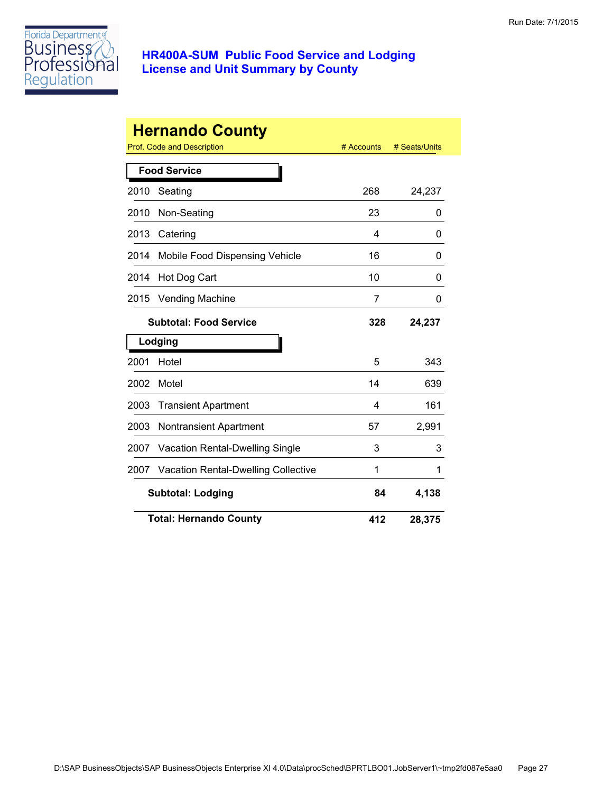

|      | <b>Hernando County</b><br><b>Prof. Code and Description</b> | # Accounts | # Seats/Units |
|------|-------------------------------------------------------------|------------|---------------|
|      | <b>Food Service</b>                                         |            |               |
| 2010 | Seating                                                     | 268        | 24,237        |
| 2010 | Non-Seating                                                 | 23         | 0             |
| 2013 | Catering                                                    | 4          | 0             |
| 2014 | Mobile Food Dispensing Vehicle                              | 16         | 0             |
| 2014 | Hot Dog Cart                                                | 10         | 0             |
| 2015 | <b>Vending Machine</b>                                      | 7          | 0             |
|      | <b>Subtotal: Food Service</b>                               | 328        | 24,237        |
|      | Lodging                                                     |            |               |
| 2001 | Hotel                                                       | 5          | 343           |
| 2002 | Motel                                                       | 14         | 639           |
| 2003 | <b>Transient Apartment</b>                                  | 4          | 161           |
| 2003 | <b>Nontransient Apartment</b>                               | 57         | 2,991         |
| 2007 | <b>Vacation Rental-Dwelling Single</b>                      | 3          | 3             |
| 2007 | <b>Vacation Rental-Dwelling Collective</b>                  | 1          | 1             |
|      | <b>Subtotal: Lodging</b>                                    | 84         | 4,138         |
|      | <b>Total: Hernando County</b>                               | 412        | 28,375        |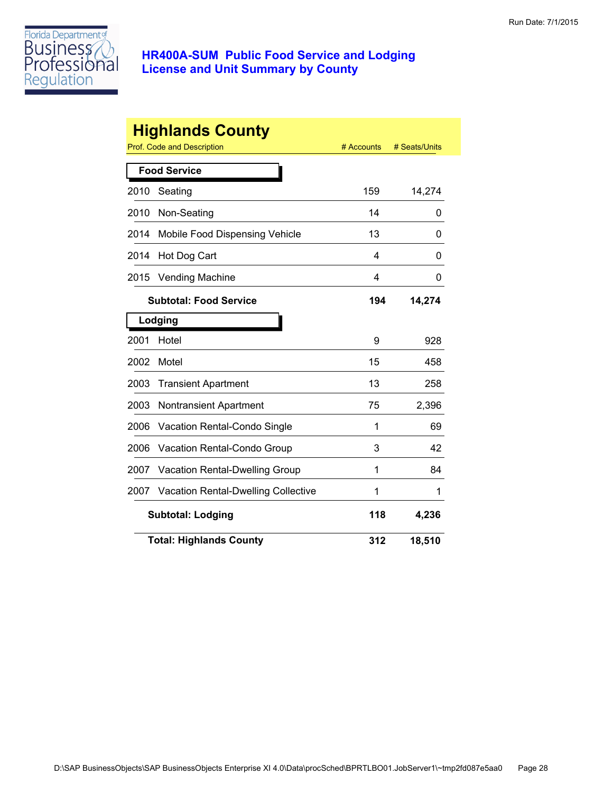

|      | <b>Highlands County</b><br><b>Prof. Code and Description</b> | # Accounts | # Seats/Units |
|------|--------------------------------------------------------------|------------|---------------|
|      |                                                              |            |               |
|      | <b>Food Service</b>                                          |            |               |
| 2010 | Seating                                                      | 159        | 14,274        |
| 2010 | Non-Seating                                                  | 14         | 0             |
| 2014 | Mobile Food Dispensing Vehicle                               | 13         | 0             |
| 2014 | Hot Dog Cart                                                 | 4          | 0             |
| 2015 | <b>Vending Machine</b>                                       | 4          | 0             |
|      | <b>Subtotal: Food Service</b>                                | 194        | 14,274        |
|      | Lodging                                                      |            |               |
| 2001 | Hotel                                                        | 9          | 928           |
| 2002 | Motel                                                        | 15         | 458           |
| 2003 | <b>Transient Apartment</b>                                   | 13         | 258           |
| 2003 | <b>Nontransient Apartment</b>                                | 75         | 2,396         |
| 2006 | Vacation Rental-Condo Single                                 | 1          | 69            |
| 2006 | Vacation Rental-Condo Group                                  | 3          | 42            |
| 2007 | Vacation Rental-Dwelling Group                               | 1          | 84            |
| 2007 | Vacation Rental-Dwelling Collective                          | 1          | 1             |
|      | <b>Subtotal: Lodging</b>                                     | 118        | 4,236         |
|      | <b>Total: Highlands County</b>                               | 312        | 18,510        |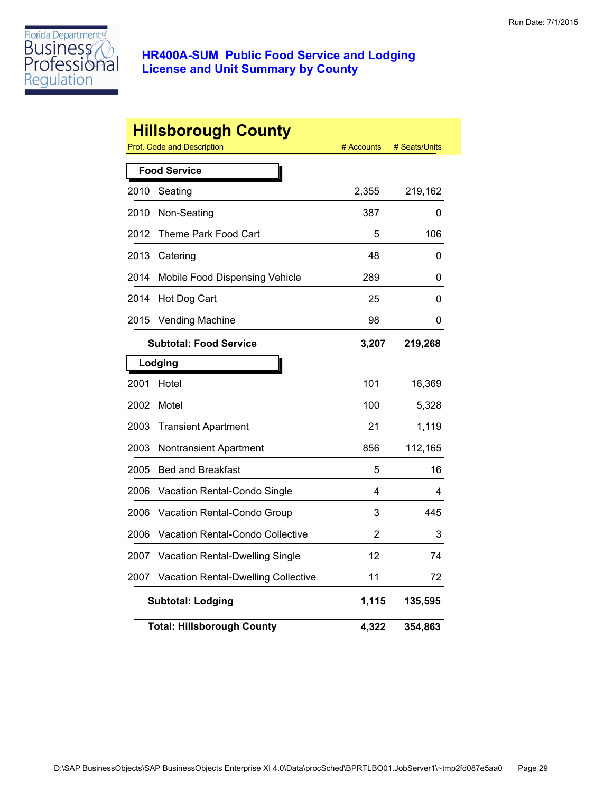

|      | <b>Hillsborough County</b><br>Prof. Code and Description | # Accounts | # Seats/Units |
|------|----------------------------------------------------------|------------|---------------|
|      | <b>Food Service</b>                                      |            |               |
| 2010 | Seating                                                  | 2,355      | 219,162       |
| 2010 | Non-Seating                                              | 387        | 0             |
| 2012 | Theme Park Food Cart                                     | 5          | 106           |
| 2013 | Catering                                                 | 48         | 0             |
|      |                                                          |            |               |
| 2014 | Mobile Food Dispensing Vehicle                           | 289        | 0             |
| 2014 | Hot Dog Cart                                             | 25         | 0             |
| 2015 | <b>Vending Machine</b>                                   | 98         | 0             |
|      | <b>Subtotal: Food Service</b>                            | 3,207      | 219,268       |
|      | Lodging                                                  |            |               |
| 2001 | Hotel                                                    | 101        | 16,369        |
| 2002 | Motel                                                    | 100        | 5,328         |
| 2003 | <b>Transient Apartment</b>                               | 21         | 1,119         |
| 2003 | <b>Nontransient Apartment</b>                            | 856        | 112,165       |
| 2005 | <b>Bed and Breakfast</b>                                 | 5          | 16            |
| 2006 | Vacation Rental-Condo Single                             | 4          | 4             |
| 2006 | Vacation Rental-Condo Group                              | 3          | 445           |
| 2006 | <b>Vacation Rental-Condo Collective</b>                  | 2          | 3             |
| 2007 | Vacation Rental-Dwelling Single                          | 12         | 74            |
| 2007 | Vacation Rental-Dwelling Collective                      | 11         | 72            |
|      | <b>Subtotal: Lodging</b>                                 | 1,115      | 135,595       |
|      | <b>Total: Hillsborough County</b>                        | 4,322      | 354,863       |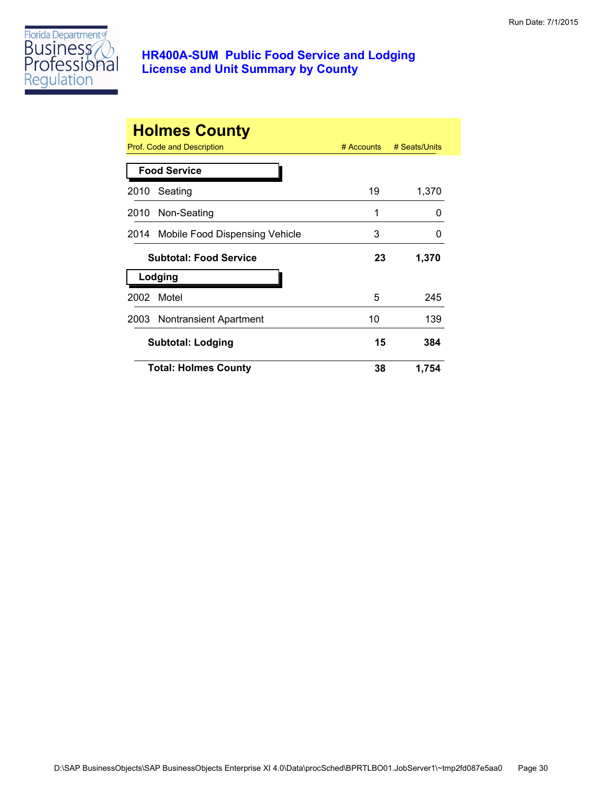

|      | <b>Holmes County</b><br>Prof. Code and Description | $#$ Accounts | # Seats/Units |
|------|----------------------------------------------------|--------------|---------------|
|      | <b>Food Service</b>                                |              |               |
| 2010 | Seating                                            | 19           | 1,370         |
| 2010 | Non-Seating                                        | 1            | O             |
|      | 2014 Mobile Food Dispensing Vehicle                | 3            | 0             |
|      | <b>Subtotal: Food Service</b>                      | 23           | 1,370         |
|      | Lodging                                            |              |               |
| 2002 | Motel                                              | 5            | 245           |
|      | 2003 Nontransient Apartment                        | 10           | 139           |
|      | <b>Subtotal: Lodging</b>                           | 15           | 384           |
|      | <b>Total: Holmes County</b>                        | 38           | 1,754         |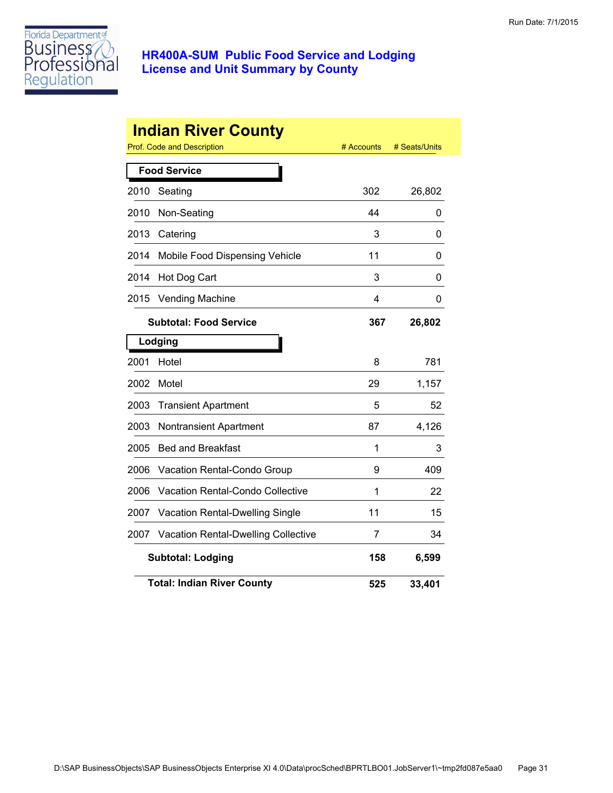

|      | <b>Indian River County</b><br>Prof. Code and Description | # Accounts | # Seats/Units |
|------|----------------------------------------------------------|------------|---------------|
|      | <b>Food Service</b>                                      |            |               |
| 2010 | Seating                                                  | 302        | 26,802        |
| 2010 | Non-Seating                                              | 44         | 0             |
| 2013 | Catering                                                 | 3          | 0             |
| 2014 | Mobile Food Dispensing Vehicle                           | 11         | 0             |
| 2014 | Hot Dog Cart                                             | 3          | 0             |
| 2015 | <b>Vending Machine</b>                                   | 4          | 0             |
|      | <b>Subtotal: Food Service</b>                            | 367        | 26,802        |
|      | Lodging                                                  |            |               |
| 2001 | Hotel                                                    | 8          | 781           |
| 2002 | Motel                                                    | 29         | 1,157         |
| 2003 | <b>Transient Apartment</b>                               | 5          | 52            |
| 2003 | Nontransient Apartment                                   | 87         | 4,126         |
| 2005 | <b>Bed and Breakfast</b>                                 | 1          | 3             |
| 2006 | Vacation Rental-Condo Group                              | 9          | 409           |
| 2006 | Vacation Rental-Condo Collective                         | 1          | 22            |
| 2007 | <b>Vacation Rental-Dwelling Single</b>                   | 11         | 15            |
| 2007 | <b>Vacation Rental-Dwelling Collective</b>               | 7          | 34            |
|      | <b>Subtotal: Lodging</b>                                 | 158        | 6,599         |
|      | <b>Total: Indian River County</b>                        | 525        | 33,401        |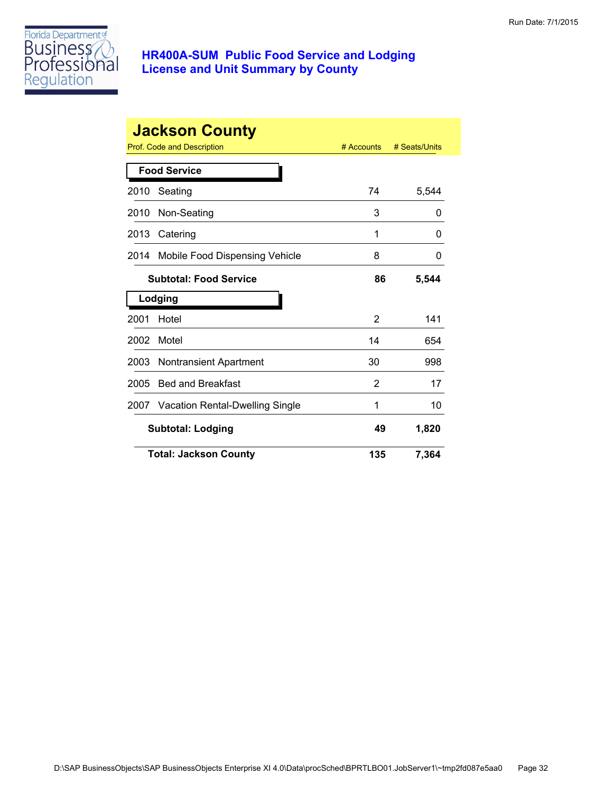

|      | <b>Jackson County</b>                | # Accounts     | # Seats/Units |
|------|--------------------------------------|----------------|---------------|
|      | Prof. Code and Description           |                |               |
|      | <b>Food Service</b>                  |                |               |
| 2010 | Seating                              | 74             | 5,544         |
| 2010 | Non-Seating                          | 3              | 0             |
| 2013 | Catering                             | 1              | 0             |
| 2014 | Mobile Food Dispensing Vehicle       | 8              | 0             |
|      | <b>Subtotal: Food Service</b>        | 86             | 5,544         |
|      | Lodging                              |                |               |
| 2001 | Hotel                                | $\overline{2}$ | 141           |
| 2002 | Motel                                | 14             | 654           |
| 2003 | <b>Nontransient Apartment</b>        | 30             | 998           |
| 2005 | <b>Bed and Breakfast</b>             | 2              | 17            |
|      | 2007 Vacation Rental-Dwelling Single | 1              | 10            |
|      | <b>Subtotal: Lodging</b>             | 49             | 1,820         |
|      | <b>Total: Jackson County</b>         | 135            | 7,364         |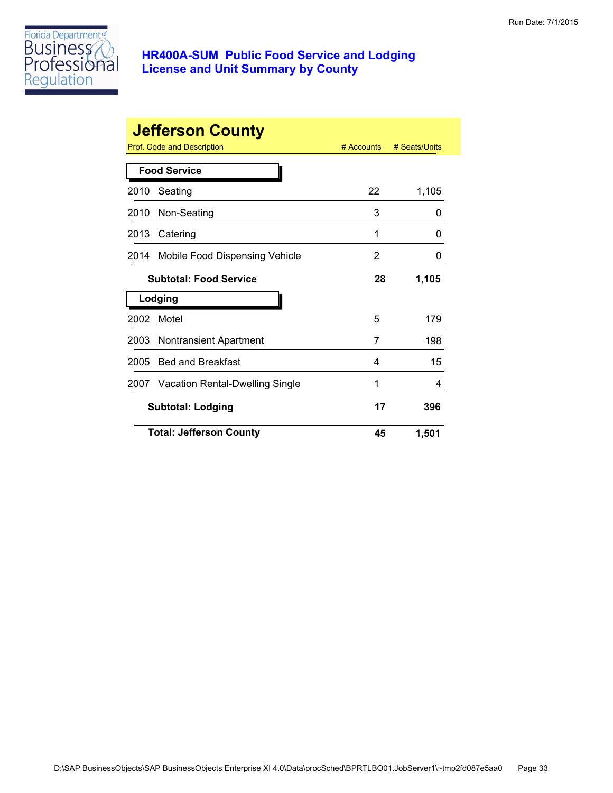

|      | <b>Jefferson County</b>              |              |               |
|------|--------------------------------------|--------------|---------------|
|      | Prof. Code and Description           | $#$ Accounts | # Seats/Units |
|      | <b>Food Service</b>                  |              |               |
| 2010 | Seating                              | 22           | 1,105         |
| 2010 | Non-Seating                          | 3            | 0             |
| 2013 | Catering                             | 1            | 0             |
| 2014 | Mobile Food Dispensing Vehicle       | 2            | 0             |
|      | <b>Subtotal: Food Service</b>        | 28           | 1,105         |
|      | Lodging                              |              |               |
| 2002 | Motel                                | 5            | 179           |
| 2003 | <b>Nontransient Apartment</b>        | 7            | 198           |
| 2005 | <b>Bed and Breakfast</b>             | 4            | 15            |
|      | 2007 Vacation Rental-Dwelling Single | 1            | 4             |
|      | <b>Subtotal: Lodging</b>             | 17           | 396           |
|      | <b>Total: Jefferson County</b>       | 45           | 1,501         |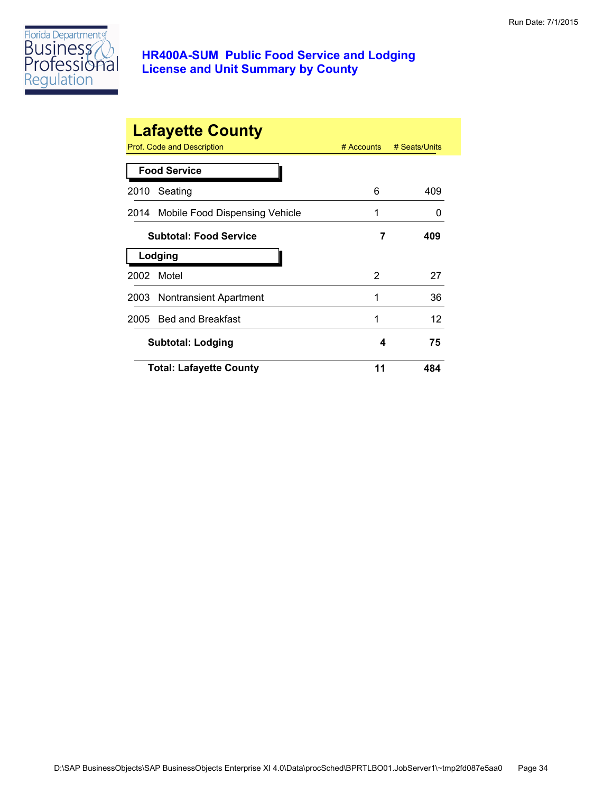

|      | <b>Lafayette County</b><br>Prof. Code and Description | $#$ Accounts | # Seats/Units |
|------|-------------------------------------------------------|--------------|---------------|
|      | <b>Food Service</b>                                   |              |               |
| 2010 | Seating                                               | 6            | 409           |
|      | 2014 Mobile Food Dispensing Vehicle                   | 1            | 0             |
|      | <b>Subtotal: Food Service</b>                         | 7            | 409           |
|      | Lodging                                               |              |               |
| 2002 | Motel                                                 | 2            | 27            |
|      | 2003 Nontransient Apartment                           | 1            | 36            |
|      | 2005 Bed and Breakfast                                | 1            | 12            |
|      | Subtotal: Lodging                                     | 4            | 75            |
|      | <b>Total: Lafayette County</b>                        | 11           | 484           |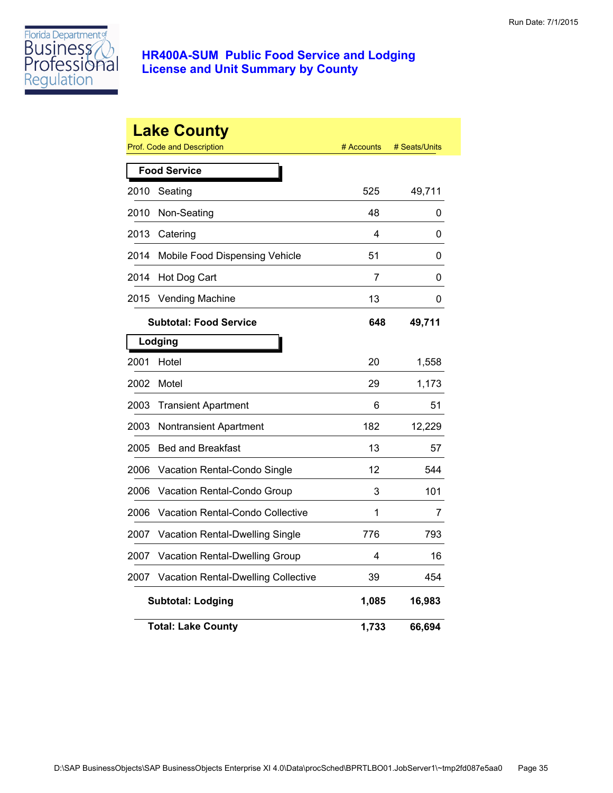

|      | <b>Lake County</b><br>Prof. Code and Description | # Accounts | # Seats/Units |
|------|--------------------------------------------------|------------|---------------|
|      | <b>Food Service</b>                              |            |               |
| 2010 | Seating                                          | 525        | 49,711        |
| 2010 | Non-Seating                                      | 48         | 0             |
| 2013 | Catering                                         | 4          | 0             |
| 2014 | Mobile Food Dispensing Vehicle                   | 51         | 0             |
| 2014 | Hot Dog Cart                                     | 7          | 0             |
| 2015 | <b>Vending Machine</b>                           | 13         | 0             |
|      | <b>Subtotal: Food Service</b>                    | 648        | 49,711        |
|      | Lodging                                          |            |               |
| 2001 | Hotel                                            | 20         | 1,558         |
| 2002 | Motel                                            | 29         | 1,173         |
| 2003 | <b>Transient Apartment</b>                       | 6          | 51            |
| 2003 | Nontransient Apartment                           | 182        | 12,229        |
| 2005 | <b>Bed and Breakfast</b>                         | 13         | 57            |
| 2006 | Vacation Rental-Condo Single                     | 12         | 544           |
| 2006 | Vacation Rental-Condo Group                      | 3          | 101           |
| 2006 | <b>Vacation Rental-Condo Collective</b>          | 1          | 7             |
| 2007 | <b>Vacation Rental-Dwelling Single</b>           | 776        | 793           |
| 2007 | Vacation Rental-Dwelling Group                   | 4          | 16            |
| 2007 | <b>Vacation Rental-Dwelling Collective</b>       | 39         | 454           |
|      | <b>Subtotal: Lodging</b>                         | 1,085      | 16,983        |
|      | <b>Total: Lake County</b>                        | 1,733      | 66,694        |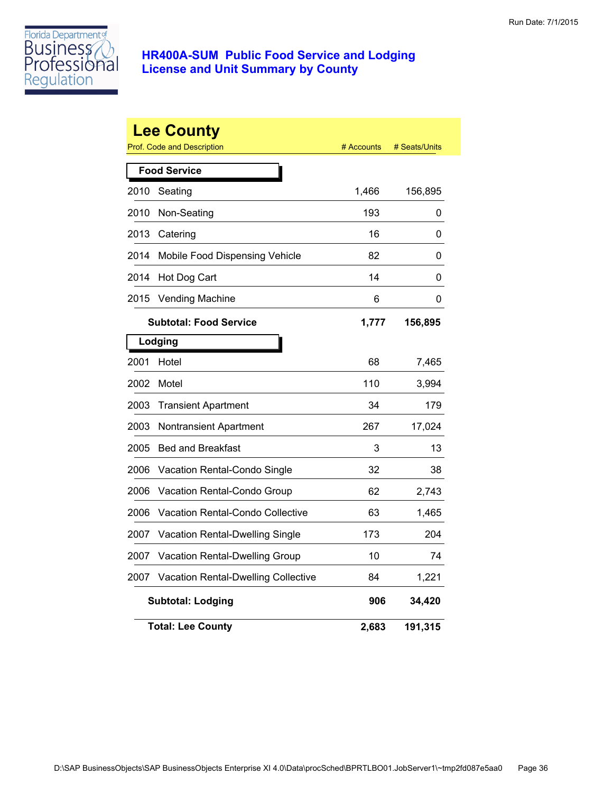

|      | <b>Lee County</b><br>Prof. Code and Description | # Accounts | # Seats/Units |
|------|-------------------------------------------------|------------|---------------|
|      | <b>Food Service</b>                             |            |               |
| 2010 | Seating                                         | 1,466      | 156,895       |
| 2010 | Non-Seating                                     | 193        | 0             |
| 2013 | Catering                                        | 16         | 0             |
| 2014 | Mobile Food Dispensing Vehicle                  | 82         | 0             |
| 2014 | Hot Dog Cart                                    | 14         | 0             |
| 2015 | <b>Vending Machine</b>                          | 6          | 0             |
|      | <b>Subtotal: Food Service</b>                   | 1,777      | 156,895       |
|      | Lodging                                         |            |               |
| 2001 | Hotel                                           | 68         | 7,465         |
| 2002 | Motel                                           | 110        | 3,994         |
| 2003 | <b>Transient Apartment</b>                      | 34         | 179           |
| 2003 | <b>Nontransient Apartment</b>                   | 267        | 17,024        |
| 2005 | <b>Bed and Breakfast</b>                        | 3          | 13            |
| 2006 | Vacation Rental-Condo Single                    | 32         | 38            |
| 2006 | Vacation Rental-Condo Group                     | 62         | 2,743         |
| 2006 | Vacation Rental-Condo Collective                | 63         | 1,465         |
| 2007 | Vacation Rental-Dwelling Single                 | 173        | 204           |
| 2007 | Vacation Rental-Dwelling Group                  | 10         | 74            |
| 2007 | Vacation Rental-Dwelling Collective             | 84         | 1,221         |
|      | <b>Subtotal: Lodging</b>                        | 906        | 34,420        |
|      | <b>Total: Lee County</b>                        | 2,683      | 191,315       |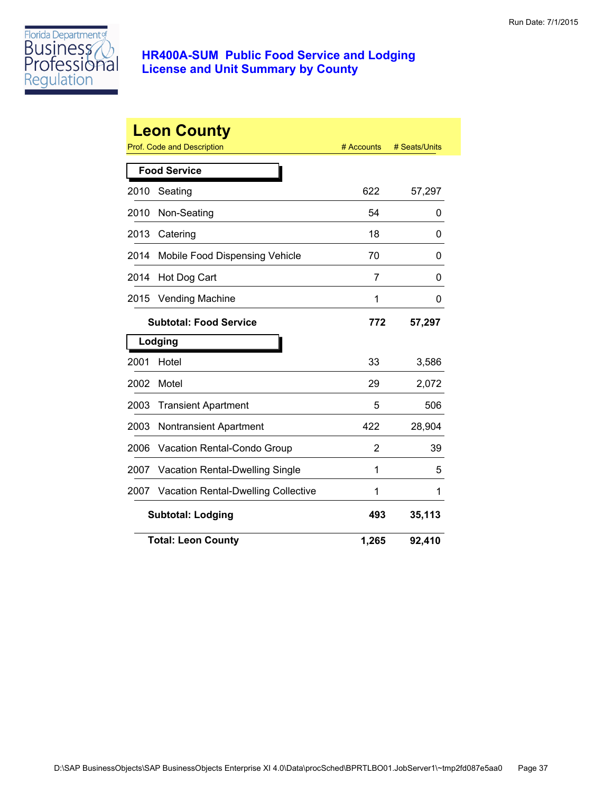

|      | <b>Leon County</b>                         |            |               |
|------|--------------------------------------------|------------|---------------|
|      | Prof. Code and Description                 | # Accounts | # Seats/Units |
|      | <b>Food Service</b>                        |            |               |
| 2010 | Seating                                    | 622        | 57,297        |
| 2010 | Non-Seating                                | 54         | 0             |
| 2013 | Catering                                   | 18         | 0             |
| 2014 | Mobile Food Dispensing Vehicle             | 70         | 0             |
| 2014 | Hot Dog Cart                               | 7          | 0             |
| 2015 | <b>Vending Machine</b>                     | 1          | 0             |
|      | <b>Subtotal: Food Service</b>              | 772        | 57,297        |
|      | Lodging                                    |            |               |
| 2001 | Hotel                                      | 33         | 3,586         |
| 2002 | Motel                                      | 29         | 2,072         |
| 2003 | <b>Transient Apartment</b>                 | 5          | 506           |
| 2003 | <b>Nontransient Apartment</b>              | 422        | 28,904        |
| 2006 | Vacation Rental-Condo Group                | 2          | 39            |
| 2007 | Vacation Rental-Dwelling Single            | 1          | 5             |
| 2007 | <b>Vacation Rental-Dwelling Collective</b> | 1          | 1             |
|      | <b>Subtotal: Lodging</b>                   | 493        | 35,113        |
|      | <b>Total: Leon County</b>                  | 1,265      | 92,410        |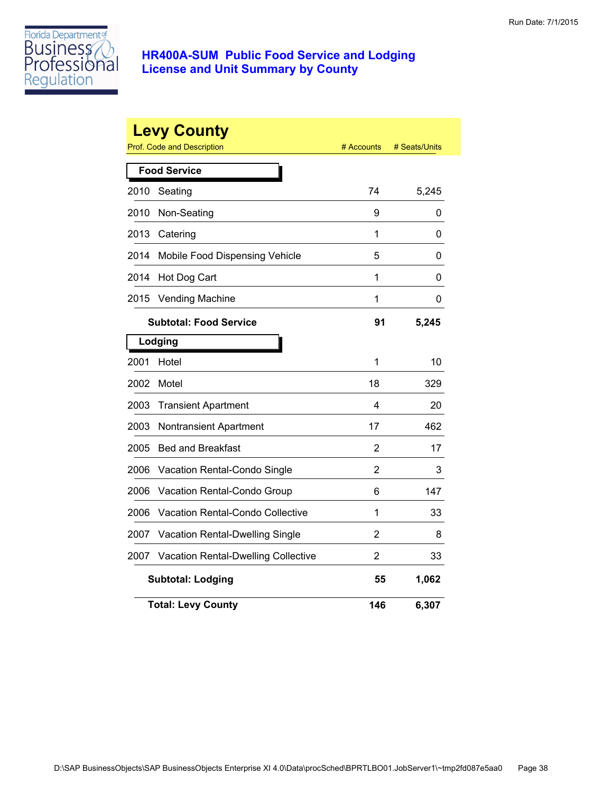

|      | <b>Levy County</b><br>Prof. Code and Description | # Accounts     | # Seats/Units |
|------|--------------------------------------------------|----------------|---------------|
|      | <b>Food Service</b>                              |                |               |
| 2010 | Seating                                          | 74             | 5,245         |
| 2010 | Non-Seating                                      | 9              | 0             |
| 2013 | Catering                                         | 1              | 0             |
| 2014 | Mobile Food Dispensing Vehicle                   | 5              | 0             |
| 2014 | Hot Dog Cart                                     | 1              | 0             |
| 2015 | Vending Machine                                  | 1              | 0             |
|      | <b>Subtotal: Food Service</b>                    | 91             | 5,245         |
|      | Lodging                                          |                |               |
| 2001 | Hotel                                            | 1              | 10            |
| 2002 | Motel                                            | 18             | 329           |
| 2003 | <b>Transient Apartment</b>                       | 4              | 20            |
| 2003 | Nontransient Apartment                           | 17             | 462           |
| 2005 | <b>Bed and Breakfast</b>                         | $\overline{2}$ | 17            |
| 2006 | Vacation Rental-Condo Single                     | 2              | 3             |
| 2006 | Vacation Rental-Condo Group                      | 6              | 147           |
| 2006 | Vacation Rental-Condo Collective                 | 1              | 33            |
| 2007 | Vacation Rental-Dwelling Single                  | 2              | 8             |
| 2007 | <b>Vacation Rental-Dwelling Collective</b>       | $\overline{2}$ | 33            |
|      | <b>Subtotal: Lodging</b>                         | 55             | 1,062         |
|      | <b>Total: Levy County</b>                        | 146            | 6,307         |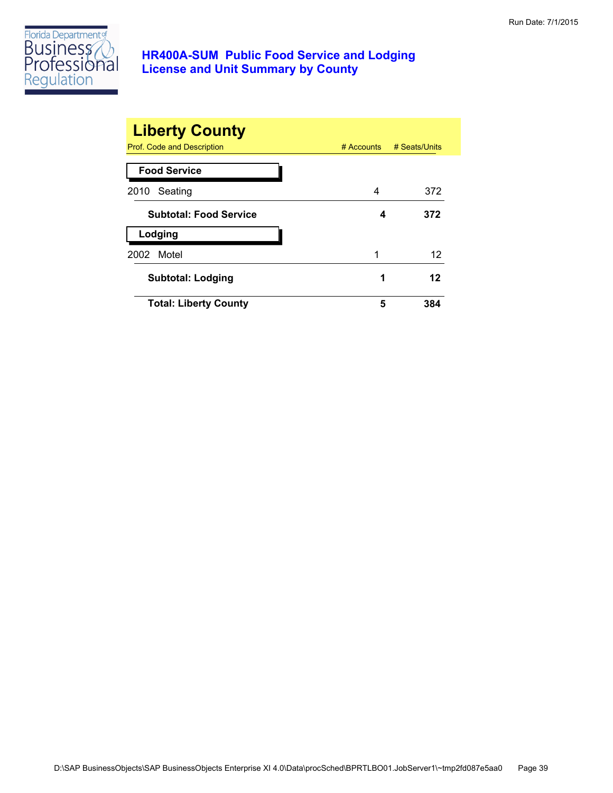

| <b>Liberty County</b>         |            |               |
|-------------------------------|------------|---------------|
| Prof. Code and Description    | # Accounts | # Seats/Units |
| <b>Food Service</b>           |            |               |
| Seating<br>2010               | 4          | 372           |
| <b>Subtotal: Food Service</b> | 4          | 372           |
| Lodging                       |            |               |
| Motel<br>2002                 | 1          | 12            |
| <b>Subtotal: Lodging</b>      | 1          | 12            |
| <b>Total: Liberty County</b>  | 5          | 384           |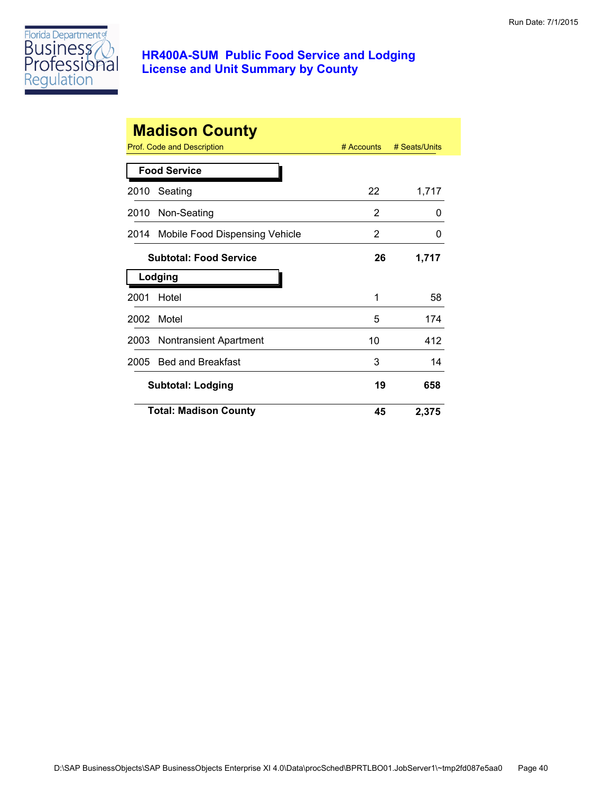

|      | <b>Madison County</b><br>Prof. Code and Description<br>$#$ Accounts<br># Seats/Units |    |              |  |  |
|------|--------------------------------------------------------------------------------------|----|--------------|--|--|
|      | <b>Food Service</b>                                                                  |    |              |  |  |
| 2010 | Seating                                                                              | 22 | 1,717        |  |  |
| 2010 | Non-Seating                                                                          | 2  | 0            |  |  |
| 2014 | Mobile Food Dispensing Vehicle                                                       | 2  | $\mathbf{0}$ |  |  |
|      | <b>Subtotal: Food Service</b>                                                        | 26 | 1,717        |  |  |
|      | Lodging                                                                              |    |              |  |  |
| 2001 | Hotel                                                                                | 1  | 58           |  |  |
| 2002 | Motel                                                                                | 5  | 174          |  |  |
| 2003 | <b>Nontransient Apartment</b>                                                        | 10 | 412          |  |  |
| 2005 | <b>Bed and Breakfast</b>                                                             | 3  | 14           |  |  |
|      | <b>Subtotal: Lodging</b>                                                             | 19 | 658          |  |  |
|      | <b>Total: Madison County</b>                                                         | 45 | 2,375        |  |  |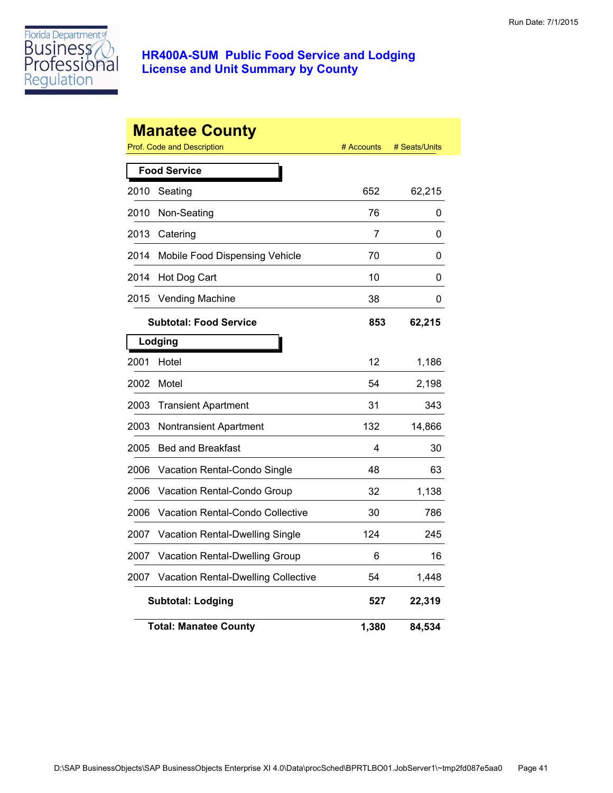

|      | <b>Manatee County</b><br>Prof. Code and Description | # Accounts | # Seats/Units |
|------|-----------------------------------------------------|------------|---------------|
|      | <b>Food Service</b>                                 |            |               |
| 2010 | Seating                                             | 652        | 62,215        |
| 2010 | Non-Seating                                         | 76         | 0             |
| 2013 | Catering                                            | 7          | 0             |
| 2014 | Mobile Food Dispensing Vehicle                      | 70         | 0             |
| 2014 | Hot Dog Cart                                        | 10         | 0             |
| 2015 | <b>Vending Machine</b>                              | 38         | 0             |
|      | <b>Subtotal: Food Service</b>                       | 853        | 62,215        |
|      | Lodging                                             |            |               |
| 2001 | Hotel                                               | 12         | 1,186         |
| 2002 | Motel                                               | 54         | 2,198         |
| 2003 | <b>Transient Apartment</b>                          | 31         | 343           |
| 2003 | Nontransient Apartment                              | 132        | 14,866        |
| 2005 | <b>Bed and Breakfast</b>                            | 4          | 30            |
| 2006 | Vacation Rental-Condo Single                        | 48         | 63            |
| 2006 | Vacation Rental-Condo Group                         | 32         | 1,138         |
| 2006 | Vacation Rental-Condo Collective                    | 30         | 786           |
| 2007 | Vacation Rental-Dwelling Single                     | 124        | 245           |
| 2007 | Vacation Rental-Dwelling Group                      | 6          | 16            |
| 2007 | <b>Vacation Rental-Dwelling Collective</b>          | 54         | 1,448         |
|      | <b>Subtotal: Lodging</b>                            | 527        | 22,319        |
|      | <b>Total: Manatee County</b>                        | 1,380      | 84,534        |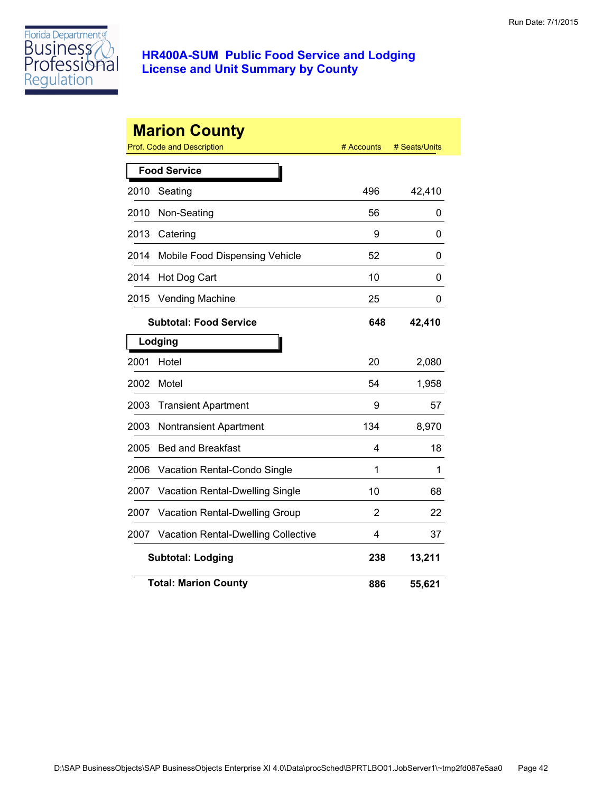

|                     | <b>Marion County</b><br><b>Prof. Code and Description</b> | # Accounts | # Seats/Units |  |
|---------------------|-----------------------------------------------------------|------------|---------------|--|
| <b>Food Service</b> |                                                           |            |               |  |
| 2010                | Seating                                                   | 496        | 42,410        |  |
| 2010                | Non-Seating                                               | 56         | 0             |  |
| 2013                | Catering                                                  | 9          | 0             |  |
| 2014                | Mobile Food Dispensing Vehicle                            | 52         | 0             |  |
| 2014                | Hot Dog Cart                                              | 10         | 0             |  |
| 2015                | <b>Vending Machine</b>                                    | 25         | 0             |  |
|                     | <b>Subtotal: Food Service</b>                             | 648        | 42,410        |  |
|                     | Lodging                                                   |            |               |  |
| 2001                | Hotel                                                     | 20         | 2,080         |  |
| 2002                | Motel                                                     | 54         | 1,958         |  |
| 2003                | <b>Transient Apartment</b>                                | 9          | 57            |  |
| 2003                | Nontransient Apartment                                    | 134        | 8,970         |  |
| 2005                | <b>Bed and Breakfast</b>                                  | 4          | 18            |  |
| 2006                | Vacation Rental-Condo Single                              | 1          | 1             |  |
| 2007                | Vacation Rental-Dwelling Single                           | 10         | 68            |  |
| 2007                | Vacation Rental-Dwelling Group                            | 2          | 22            |  |
| 2007                | <b>Vacation Rental-Dwelling Collective</b>                | 4          | 37            |  |
|                     | <b>Subtotal: Lodging</b>                                  | 238        | 13,211        |  |
|                     | <b>Total: Marion County</b>                               | 886        | 55,621        |  |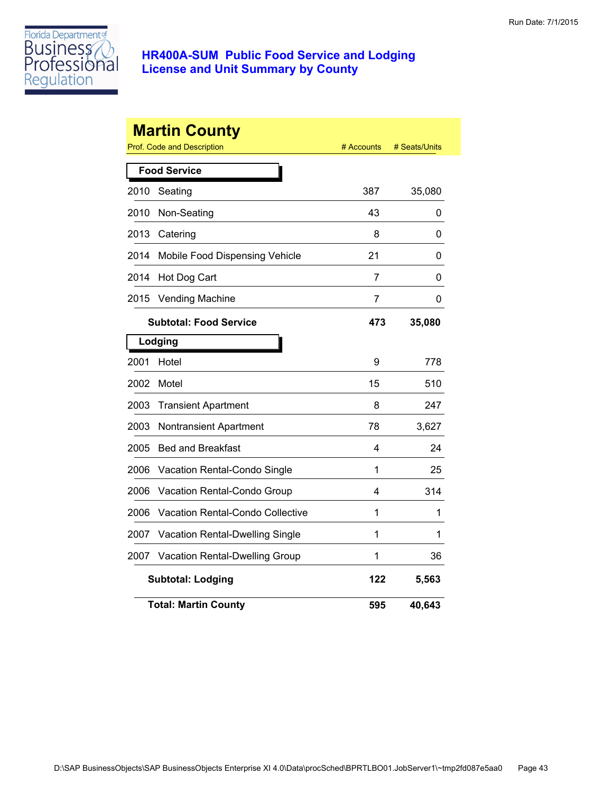

|      | <b>Martin County</b><br><b>Prof. Code and Description</b> | # Accounts | # Seats/Units |
|------|-----------------------------------------------------------|------------|---------------|
|      | <b>Food Service</b>                                       |            |               |
| 2010 | Seating                                                   | 387        | 35,080        |
| 2010 | Non-Seating                                               | 43         | 0             |
| 2013 | Catering                                                  | 8          | 0             |
| 2014 | Mobile Food Dispensing Vehicle                            | 21         | 0             |
| 2014 | Hot Dog Cart                                              | 7          | 0             |
| 2015 | <b>Vending Machine</b>                                    | 7          | 0             |
|      | <b>Subtotal: Food Service</b>                             | 473        | 35,080        |
|      | Lodging                                                   |            |               |
| 2001 | Hotel                                                     | 9          | 778           |
| 2002 | Motel                                                     | 15         | 510           |
| 2003 | <b>Transient Apartment</b>                                | 8          | 247           |
| 2003 | <b>Nontransient Apartment</b>                             | 78         | 3,627         |
| 2005 | <b>Bed and Breakfast</b>                                  | 4          | 24            |
| 2006 | Vacation Rental-Condo Single                              | 1          | 25            |
| 2006 | Vacation Rental-Condo Group                               | 4          | 314           |
| 2006 | Vacation Rental-Condo Collective                          | 1          | 1             |
| 2007 | Vacation Rental-Dwelling Single                           | 1          | 1             |
| 2007 | Vacation Rental-Dwelling Group                            | 1          | 36            |
|      | <b>Subtotal: Lodging</b>                                  | 122        | 5,563         |
|      | <b>Total: Martin County</b>                               | 595        | 40,643        |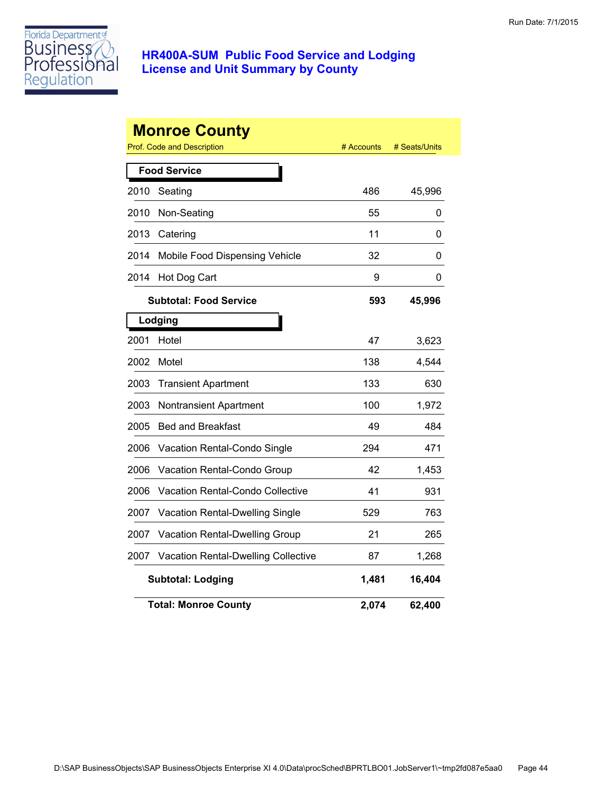

|      | <b>Monroe County</b><br>Prof. Code and Description | # Accounts | # Seats/Units |
|------|----------------------------------------------------|------------|---------------|
|      | <b>Food Service</b>                                |            |               |
| 2010 | Seating                                            | 486        | 45,996        |
| 2010 | Non-Seating                                        | 55         | 0             |
| 2013 | Catering                                           | 11         | 0             |
| 2014 | Mobile Food Dispensing Vehicle                     | 32         | 0             |
| 2014 | Hot Dog Cart                                       | 9          | 0             |
|      | <b>Subtotal: Food Service</b>                      | 593        | 45,996        |
|      | Lodging                                            |            |               |
| 2001 | Hotel                                              | 47         | 3,623         |
| 2002 | Motel                                              | 138        | 4,544         |
| 2003 | <b>Transient Apartment</b>                         | 133        | 630           |
| 2003 | Nontransient Apartment                             | 100        | 1,972         |
| 2005 | <b>Bed and Breakfast</b>                           | 49         | 484           |
| 2006 | Vacation Rental-Condo Single                       | 294        | 471           |
| 2006 | Vacation Rental-Condo Group                        | 42         | 1,453         |
| 2006 | <b>Vacation Rental-Condo Collective</b>            | 41         | 931           |
| 2007 | Vacation Rental-Dwelling Single                    | 529        | 763           |
| 2007 | Vacation Rental-Dwelling Group                     | 21         | 265           |
| 2007 | <b>Vacation Rental-Dwelling Collective</b>         | 87         | 1,268         |
|      | <b>Subtotal: Lodging</b>                           | 1,481      | 16,404        |
|      | <b>Total: Monroe County</b>                        | 2,074      | 62,400        |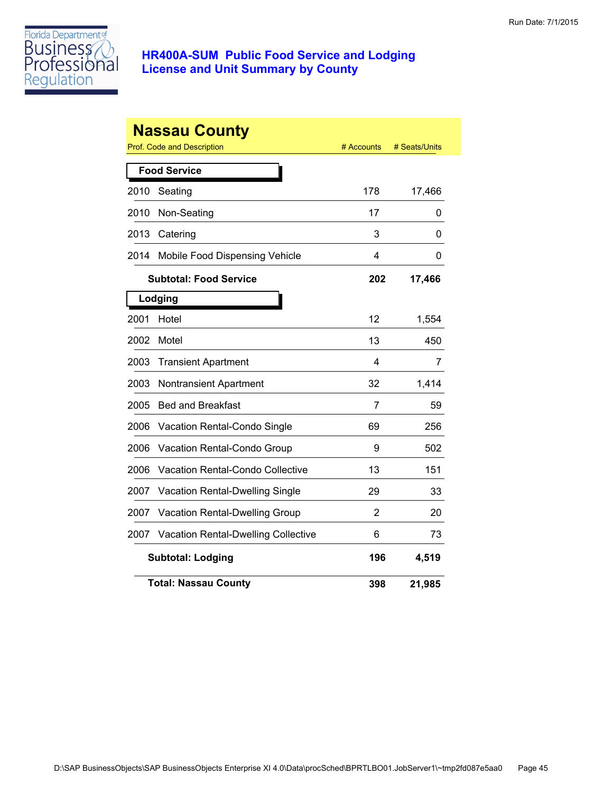

|      | <b>Nassau County</b><br>Prof. Code and Description | # Accounts | # Seats/Units |
|------|----------------------------------------------------|------------|---------------|
|      | <b>Food Service</b>                                |            |               |
| 2010 | Seating                                            | 178        | 17,466        |
| 2010 | Non-Seating                                        | 17         | 0             |
| 2013 | Catering                                           | 3          | 0             |
| 2014 | Mobile Food Dispensing Vehicle                     | 4          | 0             |
|      | <b>Subtotal: Food Service</b>                      | 202        | 17,466        |
|      | Lodging                                            |            |               |
| 2001 | Hotel                                              | 12         | 1,554         |
| 2002 | Motel                                              | 13         | 450           |
| 2003 | <b>Transient Apartment</b>                         | 4          | 7             |
| 2003 | <b>Nontransient Apartment</b>                      | 32         | 1,414         |
| 2005 | <b>Bed and Breakfast</b>                           | 7          | 59            |
| 2006 | Vacation Rental-Condo Single                       | 69         | 256           |
| 2006 | Vacation Rental-Condo Group                        | 9          | 502           |
| 2006 | Vacation Rental-Condo Collective                   | 13         | 151           |
| 2007 | Vacation Rental-Dwelling Single                    | 29         | 33            |
| 2007 | Vacation Rental-Dwelling Group                     | 2          | 20            |
| 2007 | <b>Vacation Rental-Dwelling Collective</b>         | 6          | 73            |
|      | <b>Subtotal: Lodging</b>                           | 196        | 4,519         |
|      | <b>Total: Nassau County</b>                        | 398        | 21,985        |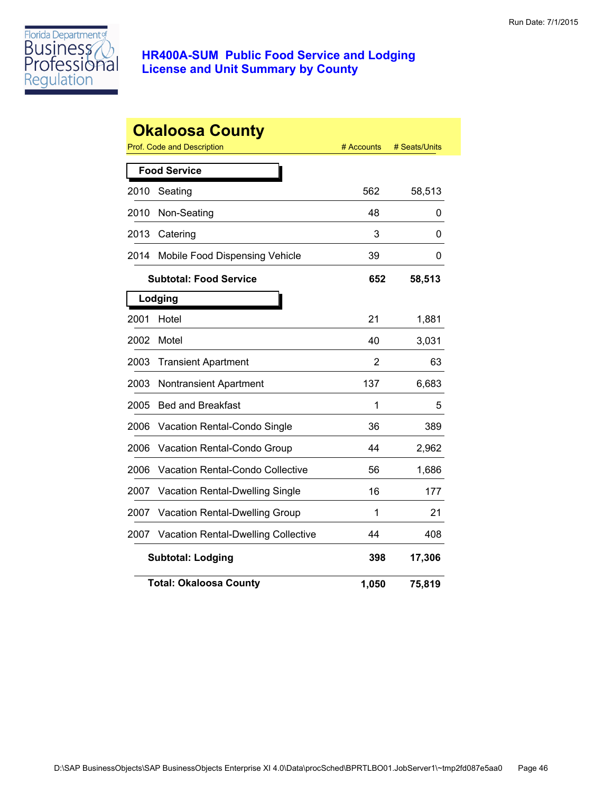

|      | <b>Okaloosa County</b><br>Prof. Code and Description | # Accounts | # Seats/Units |
|------|------------------------------------------------------|------------|---------------|
|      | <b>Food Service</b>                                  |            |               |
| 2010 | Seating                                              | 562        | 58,513        |
| 2010 | Non-Seating                                          | 48         | 0             |
| 2013 | Catering                                             | 3          | 0             |
| 2014 | Mobile Food Dispensing Vehicle                       | 39         | 0             |
|      | <b>Subtotal: Food Service</b>                        | 652        | 58,513        |
|      | Lodging                                              |            |               |
| 2001 | Hotel                                                | 21         | 1,881         |
| 2002 | Motel                                                | 40         | 3,031         |
| 2003 | <b>Transient Apartment</b>                           | 2          | 63            |
| 2003 | Nontransient Apartment                               | 137        | 6,683         |
| 2005 | <b>Bed and Breakfast</b>                             | 1          | 5             |
| 2006 | Vacation Rental-Condo Single                         | 36         | 389           |
| 2006 | Vacation Rental-Condo Group                          | 44         | 2,962         |
| 2006 | <b>Vacation Rental-Condo Collective</b>              | 56         | 1,686         |
| 2007 | Vacation Rental-Dwelling Single                      | 16         | 177           |
| 2007 | Vacation Rental-Dwelling Group                       | 1          | 21            |
| 2007 | <b>Vacation Rental-Dwelling Collective</b>           | 44         | 408           |
|      | <b>Subtotal: Lodging</b>                             | 398        | 17,306        |
|      | <b>Total: Okaloosa County</b>                        | 1,050      | 75,819        |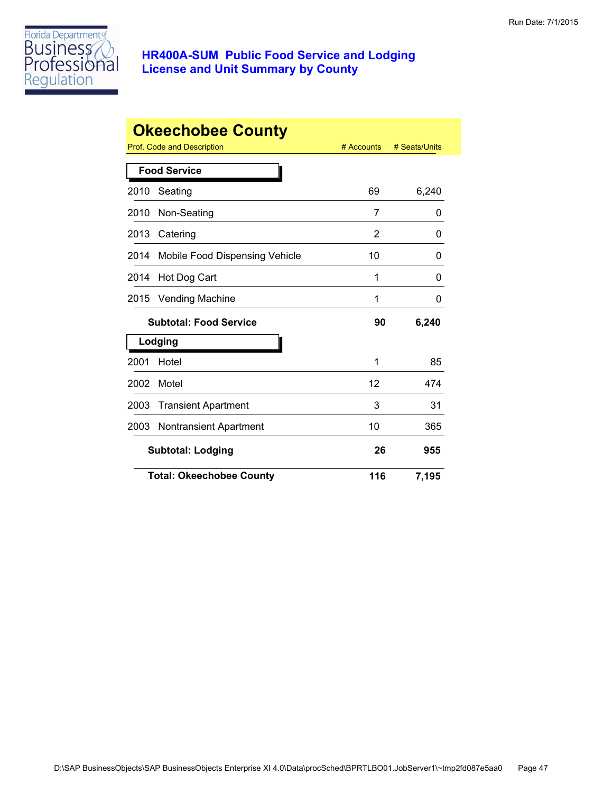

|      | <b>Okeechobee County</b>        |            |               |
|------|---------------------------------|------------|---------------|
|      | Prof. Code and Description      | # Accounts | # Seats/Units |
|      | <b>Food Service</b>             |            |               |
| 2010 | Seating                         | 69         | 6,240         |
| 2010 | Non-Seating                     | 7          | 0             |
| 2013 | Catering                        | 2          | 0             |
| 2014 | Mobile Food Dispensing Vehicle  | 10         | 0             |
| 2014 | Hot Dog Cart                    | 1          | 0             |
| 2015 | <b>Vending Machine</b>          | 1          | 0             |
|      | <b>Subtotal: Food Service</b>   | 90         | 6,240         |
|      | Lodging                         |            |               |
| 2001 | Hotel                           | 1          | 85            |
| 2002 | Motel                           | 12         | 474           |
| 2003 | <b>Transient Apartment</b>      | 3          | 31            |
| 2003 | <b>Nontransient Apartment</b>   | 10         | 365           |
|      | <b>Subtotal: Lodging</b>        | 26         | 955           |
|      | <b>Total: Okeechobee County</b> | 116        | 7,195         |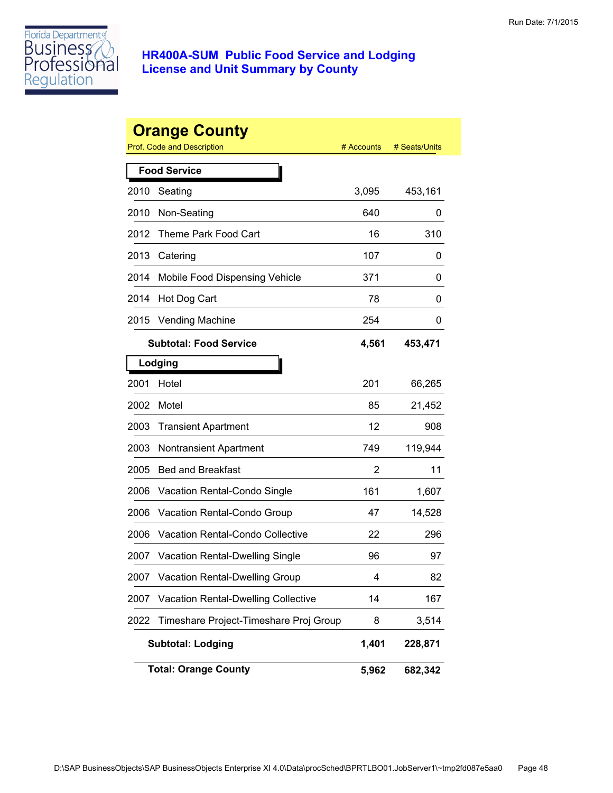

|      | <b>Orange County</b><br>Prof. Code and Description | # Accounts | # Seats/Units |
|------|----------------------------------------------------|------------|---------------|
|      | <b>Food Service</b>                                |            |               |
| 2010 | Seating                                            | 3,095      | 453,161       |
| 2010 | Non-Seating                                        | 640        | 0             |
| 2012 | Theme Park Food Cart                               | 16         | 310           |
| 2013 | Catering                                           | 107        | 0             |
| 2014 | Mobile Food Dispensing Vehicle                     | 371        | 0             |
| 2014 | Hot Dog Cart                                       | 78         | 0             |
| 2015 | <b>Vending Machine</b>                             | 254        | 0             |
|      | <b>Subtotal: Food Service</b>                      | 4,561      | 453,471       |
|      | Lodging                                            |            |               |
| 2001 | Hotel                                              | 201        | 66,265        |
| 2002 | Motel                                              | 85         | 21,452        |
| 2003 | <b>Transient Apartment</b>                         | 12         | 908           |
| 2003 | <b>Nontransient Apartment</b>                      | 749        | 119,944       |
| 2005 | <b>Bed and Breakfast</b>                           | 2          | 11            |
| 2006 | Vacation Rental-Condo Single                       | 161        | 1,607         |
| 2006 | Vacation Rental-Condo Group                        | 47         | 14,528        |
| 2006 | Vacation Rental-Condo Collective                   | 22         | 296           |
| 2007 | Vacation Rental-Dwelling Single                    | 96         | 97            |
| 2007 | Vacation Rental-Dwelling Group                     | 4          | 82            |
| 2007 | <b>Vacation Rental-Dwelling Collective</b>         | 14         | 167           |
| 2022 | Timeshare Project-Timeshare Proj Group             | 8          | 3,514         |
|      | <b>Subtotal: Lodging</b>                           | 1,401      | 228,871       |
|      | <b>Total: Orange County</b>                        | 5,962      | 682,342       |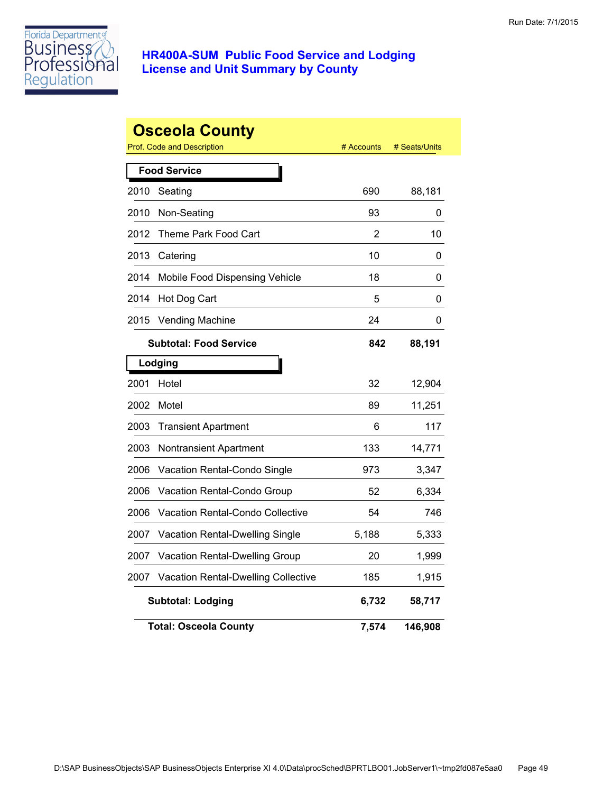

|      | <b>Osceola County</b><br>Prof. Code and Description | # Accounts | # Seats/Units |
|------|-----------------------------------------------------|------------|---------------|
|      | <b>Food Service</b>                                 |            |               |
| 2010 | Seating                                             | 690        | 88,181        |
| 2010 | Non-Seating                                         | 93         | 0             |
| 2012 | Theme Park Food Cart                                | 2          | 10            |
| 2013 | Catering                                            | 10         | 0             |
| 2014 | Mobile Food Dispensing Vehicle                      | 18         | 0             |
| 2014 | Hot Dog Cart                                        | 5          | 0             |
| 2015 | <b>Vending Machine</b>                              | 24         | 0             |
|      | <b>Subtotal: Food Service</b>                       | 842        | 88,191        |
|      | Lodging                                             |            |               |
| 2001 | Hotel                                               | 32         | 12,904        |
| 2002 | Motel                                               | 89         | 11,251        |
| 2003 | <b>Transient Apartment</b>                          | 6          | 117           |
| 2003 | Nontransient Apartment                              | 133        | 14,771        |
| 2006 | Vacation Rental-Condo Single                        | 973        | 3,347         |
| 2006 | Vacation Rental-Condo Group                         | 52         | 6,334         |
| 2006 | <b>Vacation Rental-Condo Collective</b>             | 54         | 746           |
| 2007 | <b>Vacation Rental-Dwelling Single</b>              | 5,188      | 5,333         |
| 2007 | <b>Vacation Rental-Dwelling Group</b>               | 20         | 1,999         |
| 2007 | <b>Vacation Rental-Dwelling Collective</b>          | 185        | 1,915         |
|      | <b>Subtotal: Lodging</b>                            | 6,732      | 58,717        |
|      | <b>Total: Osceola County</b>                        | 7,574      | 146,908       |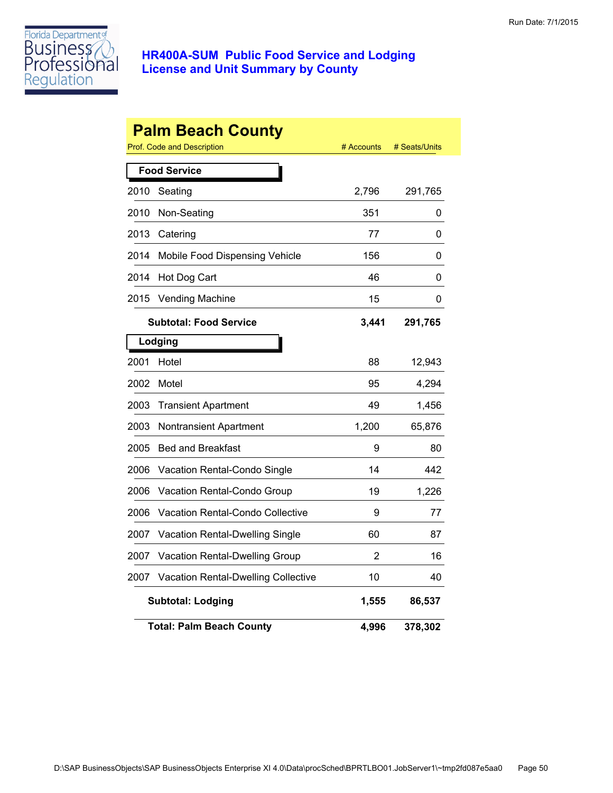

|      | <b>Palm Beach County</b><br>Prof. Code and Description | # Accounts | # Seats/Units |  |  |
|------|--------------------------------------------------------|------------|---------------|--|--|
|      | <b>Food Service</b>                                    |            |               |  |  |
| 2010 | Seating                                                | 2,796      | 291,765       |  |  |
| 2010 | Non-Seating                                            | 351        | 0             |  |  |
| 2013 | Catering                                               | 77         | 0             |  |  |
| 2014 | Mobile Food Dispensing Vehicle                         | 156        | 0             |  |  |
| 2014 | Hot Dog Cart                                           | 46         | 0             |  |  |
| 2015 | <b>Vending Machine</b>                                 | 15         | 0             |  |  |
|      | <b>Subtotal: Food Service</b>                          | 3,441      | 291,765       |  |  |
|      | Lodging                                                |            |               |  |  |
| 2001 | Hotel                                                  | 88         | 12,943        |  |  |
| 2002 | Motel                                                  | 95         | 4,294         |  |  |
| 2003 | <b>Transient Apartment</b>                             | 49         | 1,456         |  |  |
| 2003 | Nontransient Apartment                                 | 1,200      | 65,876        |  |  |
| 2005 | <b>Bed and Breakfast</b>                               | 9          | 80            |  |  |
| 2006 | Vacation Rental-Condo Single                           | 14         | 442           |  |  |
| 2006 | <b>Vacation Rental-Condo Group</b>                     | 19         | 1,226         |  |  |
| 2006 | Vacation Rental-Condo Collective                       | 9          | 77            |  |  |
| 2007 | Vacation Rental-Dwelling Single                        | 60         | 87            |  |  |
| 2007 | Vacation Rental-Dwelling Group                         | 2          | 16            |  |  |
| 2007 | Vacation Rental-Dwelling Collective                    | 10         | 40            |  |  |
|      | <b>Subtotal: Lodging</b>                               | 1,555      | 86,537        |  |  |
|      | <b>Total: Palm Beach County</b>                        | 4,996      | 378,302       |  |  |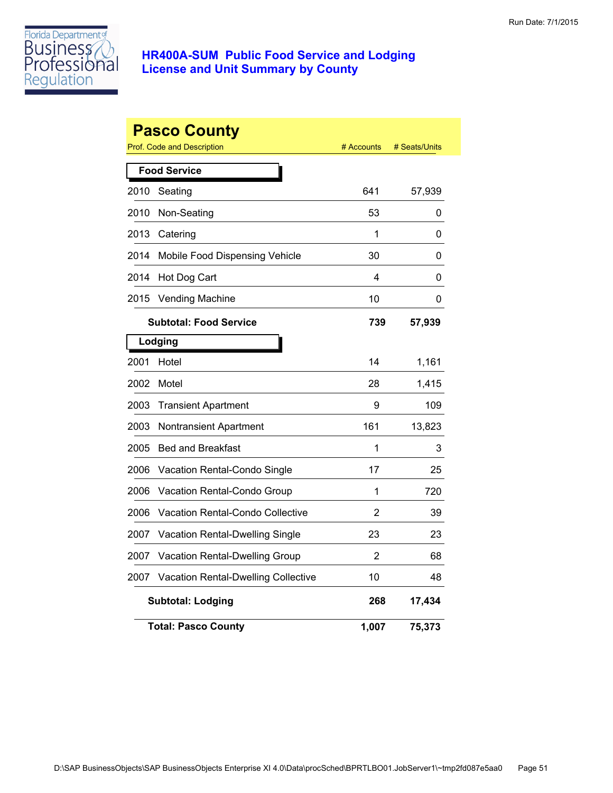

|      | <b>Pasco County</b><br>Prof. Code and Description | # Accounts | # Seats/Units |
|------|---------------------------------------------------|------------|---------------|
|      | <b>Food Service</b>                               |            |               |
| 2010 | Seating                                           | 641        | 57,939        |
| 2010 | Non-Seating                                       | 53         | 0             |
| 2013 | Catering                                          | 1          | 0             |
| 2014 | Mobile Food Dispensing Vehicle                    | 30         | 0             |
| 2014 | Hot Dog Cart                                      | 4          | 0             |
| 2015 | <b>Vending Machine</b>                            | 10         | 0             |
|      | <b>Subtotal: Food Service</b>                     | 739        | 57,939        |
|      | Lodging                                           |            |               |
| 2001 | Hotel                                             | 14         | 1,161         |
| 2002 | Motel                                             | 28         | 1,415         |
| 2003 | <b>Transient Apartment</b>                        | 9          | 109           |
| 2003 | Nontransient Apartment                            | 161        | 13,823        |
| 2005 | <b>Bed and Breakfast</b>                          | 1          | 3             |
| 2006 | Vacation Rental-Condo Single                      | 17         | 25            |
| 2006 | Vacation Rental-Condo Group                       | 1          | 720           |
| 2006 | <b>Vacation Rental-Condo Collective</b>           | 2          | 39            |
| 2007 | <b>Vacation Rental-Dwelling Single</b>            | 23         | 23            |
| 2007 | <b>Vacation Rental-Dwelling Group</b>             | 2          | 68            |
| 2007 | <b>Vacation Rental-Dwelling Collective</b>        | 10         | 48            |
|      | <b>Subtotal: Lodging</b>                          | 268        | 17,434        |
|      | <b>Total: Pasco County</b>                        | 1,007      | 75,373        |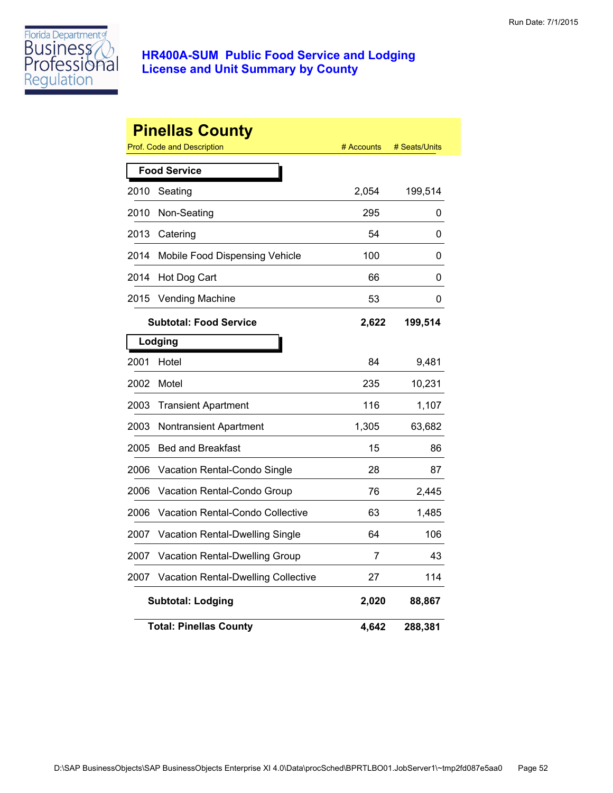

|      | <b>Pinellas County</b><br>Prof. Code and Description | # Accounts | # Seats/Units |
|------|------------------------------------------------------|------------|---------------|
|      | <b>Food Service</b>                                  |            |               |
| 2010 | Seating                                              | 2,054      | 199,514       |
| 2010 | Non-Seating                                          | 295        | 0             |
| 2013 | Catering                                             | 54         | 0             |
| 2014 | Mobile Food Dispensing Vehicle                       | 100        | 0             |
| 2014 | Hot Dog Cart                                         | 66         | 0             |
| 2015 | <b>Vending Machine</b>                               | 53         | 0             |
|      | <b>Subtotal: Food Service</b>                        | 2,622      | 199,514       |
|      | Lodging                                              |            |               |
| 2001 | Hotel                                                | 84         | 9,481         |
| 2002 | Motel                                                | 235        | 10,231        |
| 2003 | <b>Transient Apartment</b>                           | 116        | 1,107         |
| 2003 | Nontransient Apartment                               | 1,305      | 63,682        |
| 2005 | <b>Bed and Breakfast</b>                             | 15         | 86            |
| 2006 | Vacation Rental-Condo Single                         | 28         | 87            |
| 2006 | Vacation Rental-Condo Group                          | 76         | 2,445         |
| 2006 | Vacation Rental-Condo Collective                     | 63         | 1,485         |
| 2007 | Vacation Rental-Dwelling Single                      | 64         | 106           |
| 2007 | Vacation Rental-Dwelling Group                       | 7          | 43            |
| 2007 | <b>Vacation Rental-Dwelling Collective</b>           | 27         | 114           |
|      | <b>Subtotal: Lodging</b>                             | 2,020      | 88,867        |
|      | <b>Total: Pinellas County</b>                        | 4,642      | 288,381       |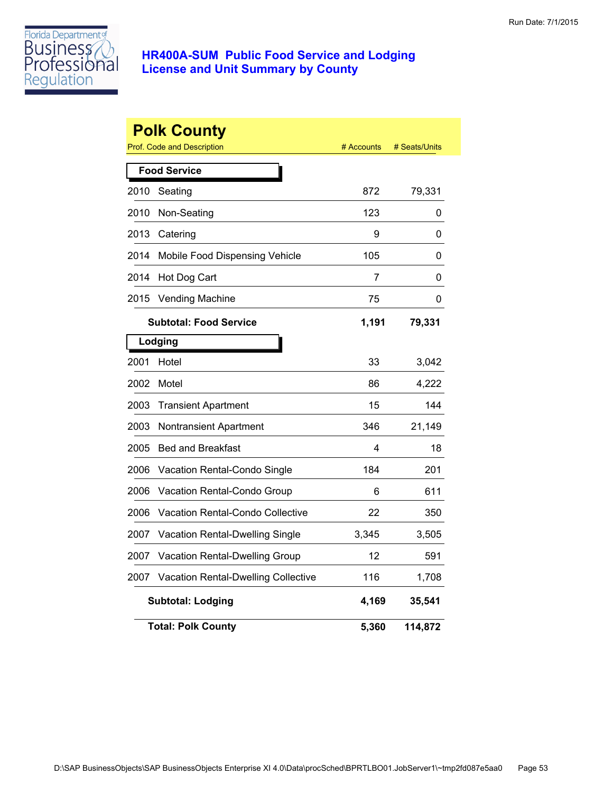

|      | <b>Polk County</b><br>Prof. Code and Description | # Accounts | # Seats/Units |
|------|--------------------------------------------------|------------|---------------|
|      | <b>Food Service</b>                              |            |               |
| 2010 | Seating                                          | 872        | 79,331        |
| 2010 | Non-Seating                                      | 123        | 0             |
| 2013 | Catering                                         | 9          | 0             |
| 2014 | Mobile Food Dispensing Vehicle                   | 105        | 0             |
| 2014 | Hot Dog Cart                                     | 7          | 0             |
| 2015 | <b>Vending Machine</b>                           | 75         | 0             |
|      | <b>Subtotal: Food Service</b>                    | 1,191      | 79,331        |
|      | Lodging                                          |            |               |
| 2001 | Hotel                                            | 33         | 3,042         |
| 2002 | Motel                                            | 86         | 4,222         |
| 2003 | <b>Transient Apartment</b>                       | 15         | 144           |
| 2003 | <b>Nontransient Apartment</b>                    | 346        | 21,149        |
| 2005 | <b>Bed and Breakfast</b>                         | 4          | 18            |
| 2006 | Vacation Rental-Condo Single                     | 184        | 201           |
| 2006 | Vacation Rental-Condo Group                      | 6          | 611           |
| 2006 | <b>Vacation Rental-Condo Collective</b>          | 22         | 350           |
| 2007 | Vacation Rental-Dwelling Single                  | 3,345      | 3,505         |
| 2007 | Vacation Rental-Dwelling Group                   | 12         | 591           |
| 2007 | Vacation Rental-Dwelling Collective              | 116        | 1,708         |
|      | <b>Subtotal: Lodging</b>                         | 4,169      | 35,541        |
|      | <b>Total: Polk County</b>                        | 5,360      | 114,872       |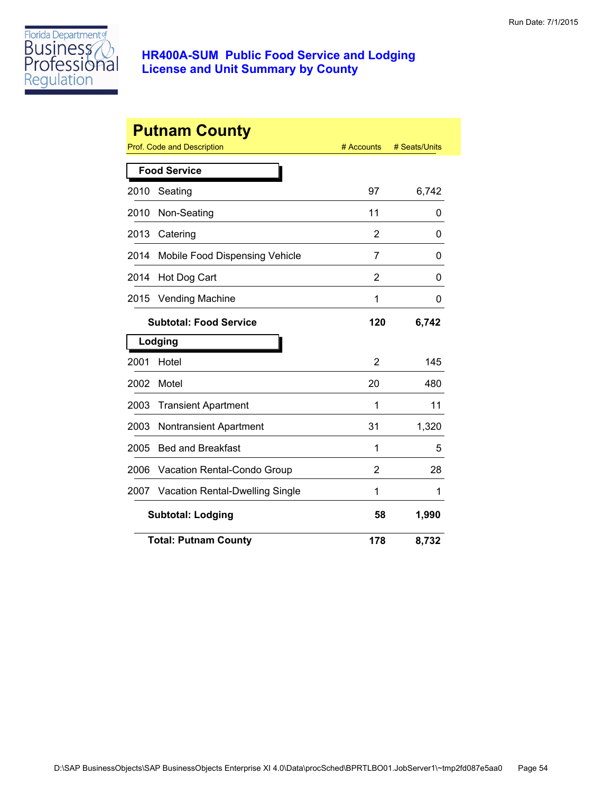

|      | <b>Putnam County</b>            |                |               |
|------|---------------------------------|----------------|---------------|
|      | Prof. Code and Description      | # Accounts     | # Seats/Units |
|      | <b>Food Service</b>             |                |               |
| 2010 | Seating                         | 97             | 6,742         |
| 2010 | Non-Seating                     | 11             | 0             |
| 2013 | Catering                        | $\overline{2}$ | 0             |
| 2014 | Mobile Food Dispensing Vehicle  | 7              | 0             |
| 2014 | Hot Dog Cart                    | 2              | 0             |
| 2015 | <b>Vending Machine</b>          | 1              | 0             |
|      | <b>Subtotal: Food Service</b>   | 120            | 6,742         |
|      | Lodging                         |                |               |
| 2001 | Hotel                           | 2              | 145           |
| 2002 | Motel                           | 20             | 480           |
| 2003 | <b>Transient Apartment</b>      | 1              | 11            |
| 2003 | <b>Nontransient Apartment</b>   | 31             | 1,320         |
| 2005 | <b>Bed and Breakfast</b>        | 1              | 5             |
| 2006 | Vacation Rental-Condo Group     | 2              | 28            |
| 2007 | Vacation Rental-Dwelling Single | 1              | 1             |
|      | <b>Subtotal: Lodging</b>        | 58             | 1,990         |
|      | <b>Total: Putnam County</b>     | 178            | 8,732         |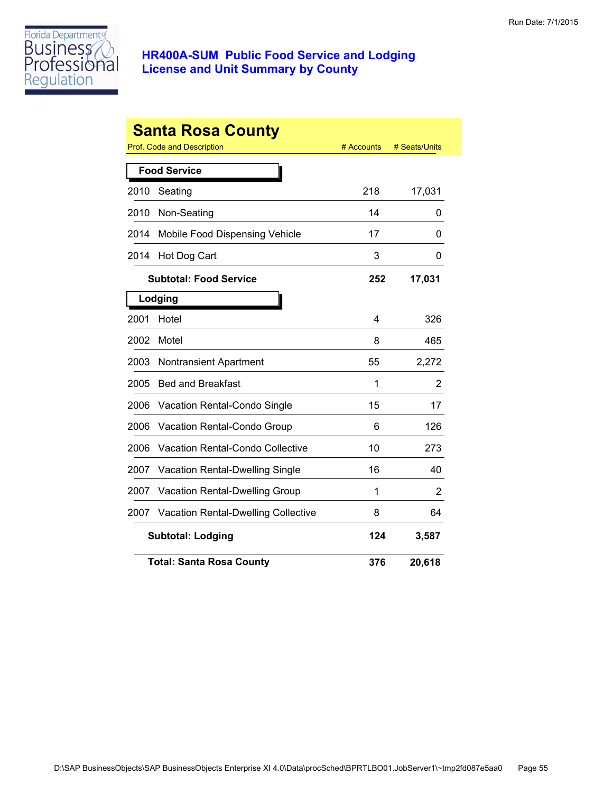

|      | <b>Santa Rosa County</b><br><b>Prof. Code and Description</b> | # Accounts | # Seats/Units |
|------|---------------------------------------------------------------|------------|---------------|
|      | <b>Food Service</b>                                           |            |               |
| 2010 | Seating                                                       | 218        | 17,031        |
| 2010 | Non-Seating                                                   | 14         | 0             |
| 2014 | Mobile Food Dispensing Vehicle                                | 17         | 0             |
| 2014 | Hot Dog Cart                                                  | 3          | 0             |
|      | <b>Subtotal: Food Service</b>                                 | 252        | 17,031        |
|      | Lodging                                                       |            |               |
| 2001 | Hotel                                                         | 4          | 326           |
| 2002 | Motel                                                         | 8          | 465           |
| 2003 | <b>Nontransient Apartment</b>                                 | 55         | 2,272         |
| 2005 | <b>Bed and Breakfast</b>                                      | 1          | 2             |
| 2006 | Vacation Rental-Condo Single                                  | 15         | 17            |
| 2006 | Vacation Rental-Condo Group                                   | 6          | 126           |
| 2006 | <b>Vacation Rental-Condo Collective</b>                       | 10         | 273           |
| 2007 | <b>Vacation Rental-Dwelling Single</b>                        | 16         | 40            |
| 2007 | Vacation Rental-Dwelling Group                                | 1          | 2             |
| 2007 | <b>Vacation Rental-Dwelling Collective</b>                    | 8          | 64            |
|      | <b>Subtotal: Lodging</b>                                      | 124        | 3,587         |
|      | <b>Total: Santa Rosa County</b>                               | 376        | 20,618        |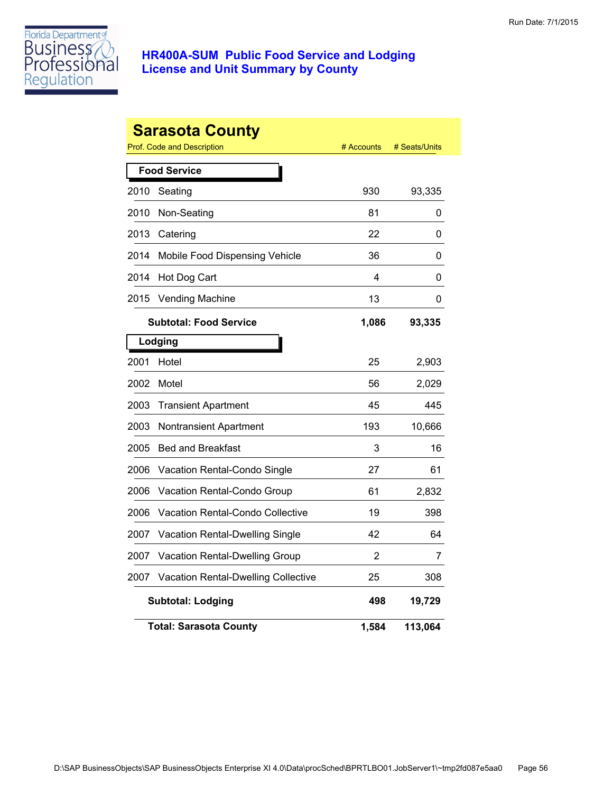

|      | <b>Sarasota County</b><br>Prof. Code and Description | # Accounts | # Seats/Units |
|------|------------------------------------------------------|------------|---------------|
|      | <b>Food Service</b>                                  |            |               |
| 2010 | Seating                                              | 930        | 93,335        |
| 2010 | Non-Seating                                          | 81         | 0             |
| 2013 | Catering                                             | 22         | 0             |
| 2014 | Mobile Food Dispensing Vehicle                       | 36         | 0             |
| 2014 | Hot Dog Cart                                         | 4          | 0             |
| 2015 | <b>Vending Machine</b>                               | 13         | 0             |
|      | <b>Subtotal: Food Service</b>                        | 1,086      | 93,335        |
|      | Lodging                                              |            |               |
| 2001 | Hotel                                                | 25         | 2,903         |
| 2002 | Motel                                                | 56         | 2,029         |
| 2003 | <b>Transient Apartment</b>                           | 45         | 445           |
| 2003 | <b>Nontransient Apartment</b>                        | 193        | 10,666        |
| 2005 | <b>Bed and Breakfast</b>                             | 3          | 16            |
| 2006 | Vacation Rental-Condo Single                         | 27         | 61            |
| 2006 | Vacation Rental-Condo Group                          | 61         | 2,832         |
| 2006 | Vacation Rental-Condo Collective                     | 19         | 398           |
| 2007 | Vacation Rental-Dwelling Single                      | 42         | 64            |
| 2007 | Vacation Rental-Dwelling Group                       | 2          | 7             |
| 2007 | Vacation Rental-Dwelling Collective                  | 25         | 308           |
|      | <b>Subtotal: Lodging</b>                             | 498        | 19,729        |
|      | <b>Total: Sarasota County</b>                        | 1,584      | 113,064       |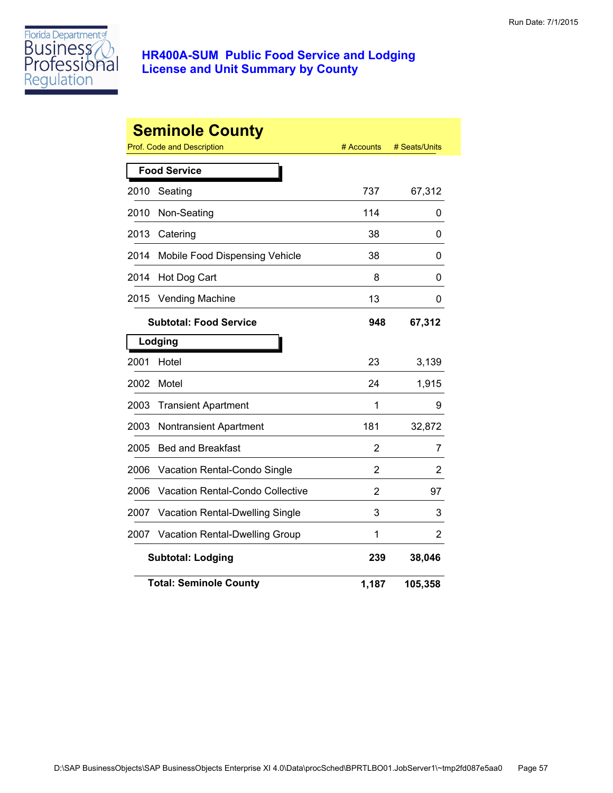

|      | <b>Seminole County</b><br>Prof. Code and Description | # Accounts     | # Seats/Units |
|------|------------------------------------------------------|----------------|---------------|
|      | <b>Food Service</b>                                  |                |               |
| 2010 | Seating                                              | 737            | 67,312        |
| 2010 | Non-Seating                                          | 114            | 0             |
| 2013 | Catering                                             | 38             | 0             |
| 2014 | Mobile Food Dispensing Vehicle                       | 38             | 0             |
| 2014 | Hot Dog Cart                                         | 8              | 0             |
| 2015 | <b>Vending Machine</b>                               | 13             | 0             |
|      | <b>Subtotal: Food Service</b>                        | 948            | 67,312        |
|      | Lodging                                              |                |               |
| 2001 | Hotel                                                | 23             | 3,139         |
| 2002 | Motel                                                | 24             | 1,915         |
| 2003 | <b>Transient Apartment</b>                           | 1              | 9             |
| 2003 | Nontransient Apartment                               | 181            | 32,872        |
| 2005 | <b>Bed and Breakfast</b>                             | 2              | 7             |
| 2006 | Vacation Rental-Condo Single                         | $\overline{2}$ | 2             |
| 2006 | <b>Vacation Rental-Condo Collective</b>              | 2              | 97            |
| 2007 | Vacation Rental-Dwelling Single                      | 3              | 3             |
| 2007 | Vacation Rental-Dwelling Group                       | 1              | 2             |
|      | <b>Subtotal: Lodging</b>                             | 239            | 38,046        |
|      | <b>Total: Seminole County</b>                        | 1,187          | 105,358       |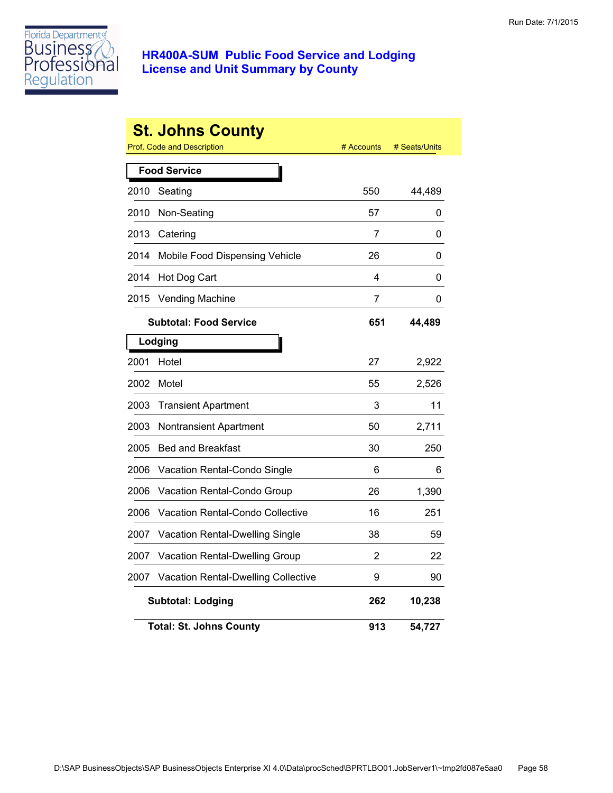

|      | <b>St. Johns County</b>             |            |               |
|------|-------------------------------------|------------|---------------|
|      | Prof. Code and Description          | # Accounts | # Seats/Units |
|      | <b>Food Service</b>                 |            |               |
| 2010 | Seating                             | 550        | 44,489        |
| 2010 | Non-Seating                         | 57         | 0             |
| 2013 | Catering                            | 7          | 0             |
| 2014 | Mobile Food Dispensing Vehicle      | 26         | 0             |
| 2014 | Hot Dog Cart                        | 4          | 0             |
| 2015 | <b>Vending Machine</b>              | 7          | 0             |
|      | <b>Subtotal: Food Service</b>       | 651        | 44,489        |
|      | Lodging                             |            |               |
| 2001 | Hotel                               | 27         | 2,922         |
| 2002 | Motel                               | 55         | 2,526         |
| 2003 | <b>Transient Apartment</b>          | 3          | 11            |
| 2003 | Nontransient Apartment              | 50         | 2,711         |
| 2005 | <b>Bed and Breakfast</b>            | 30         | 250           |
| 2006 | Vacation Rental-Condo Single        | 6          | 6             |
| 2006 | Vacation Rental-Condo Group         | 26         | 1,390         |
| 2006 | Vacation Rental-Condo Collective    | 16         | 251           |
| 2007 | Vacation Rental-Dwelling Single     | 38         | 59            |
| 2007 | Vacation Rental-Dwelling Group      | 2          | 22            |
| 2007 | Vacation Rental-Dwelling Collective | 9          | 90            |
|      | <b>Subtotal: Lodging</b>            | 262        | 10,238        |
|      | <b>Total: St. Johns County</b>      | 913        | 54,727        |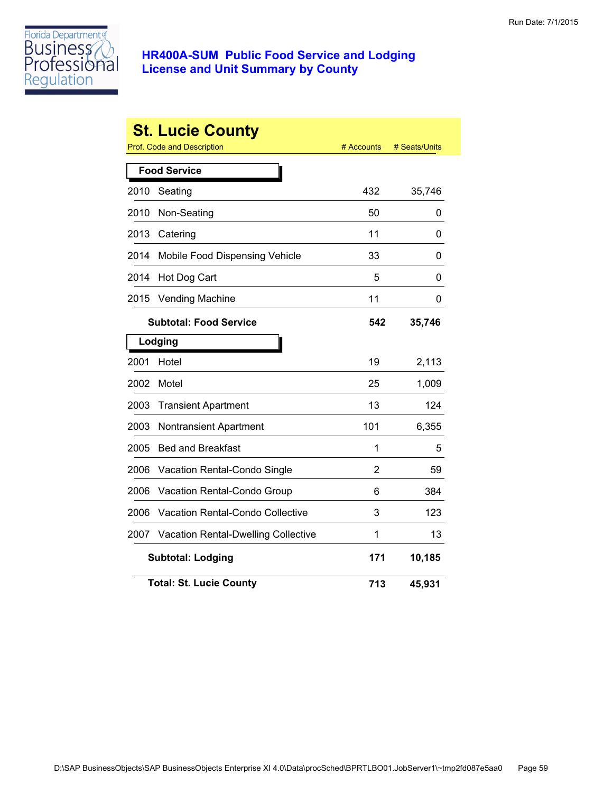

|      | <b>St. Lucie County</b><br><b>Prof. Code and Description</b> | # Accounts     | # Seats/Units |
|------|--------------------------------------------------------------|----------------|---------------|
|      | <b>Food Service</b>                                          |                |               |
| 2010 | Seating                                                      | 432            | 35,746        |
| 2010 | Non-Seating                                                  | 50             | 0             |
| 2013 | Catering                                                     | 11             | 0             |
| 2014 | Mobile Food Dispensing Vehicle                               | 33             | 0             |
| 2014 | Hot Dog Cart                                                 | 5              | 0             |
| 2015 | <b>Vending Machine</b>                                       | 11             | 0             |
|      | <b>Subtotal: Food Service</b>                                | 542            | 35,746        |
|      | Lodging                                                      |                |               |
| 2001 | Hotel                                                        | 19             | 2,113         |
| 2002 | Motel                                                        | 25             | 1,009         |
| 2003 | <b>Transient Apartment</b>                                   | 13             | 124           |
| 2003 | Nontransient Apartment                                       | 101            | 6,355         |
| 2005 | <b>Bed and Breakfast</b>                                     | 1              | 5             |
| 2006 | Vacation Rental-Condo Single                                 | $\overline{2}$ | 59            |
| 2006 | Vacation Rental-Condo Group                                  | 6              | 384           |
| 2006 | <b>Vacation Rental-Condo Collective</b>                      | 3              | 123           |
| 2007 | <b>Vacation Rental-Dwelling Collective</b>                   | 1              | 13            |
|      | <b>Subtotal: Lodging</b>                                     | 171            | 10,185        |
|      | <b>Total: St. Lucie County</b>                               | 713            | 45,931        |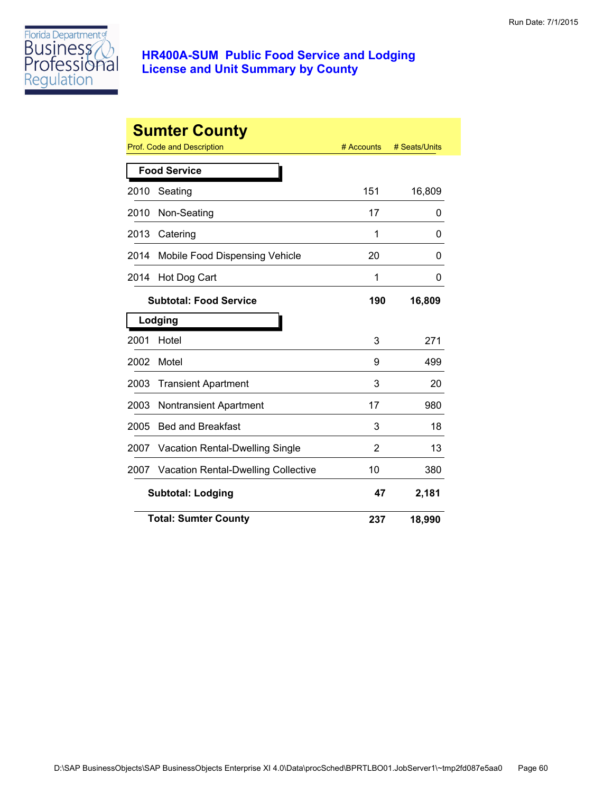

|      | <b>Sumter County</b>                       | # Accounts | # Seats/Units |
|------|--------------------------------------------|------------|---------------|
|      | Prof. Code and Description                 |            |               |
|      | <b>Food Service</b>                        |            |               |
| 2010 | Seating                                    | 151        | 16,809        |
| 2010 | Non-Seating                                | 17         | 0             |
| 2013 | Catering                                   | 1          | 0             |
| 2014 | Mobile Food Dispensing Vehicle             | 20         | O             |
| 2014 | Hot Dog Cart                               | 1          | 0             |
|      | <b>Subtotal: Food Service</b>              | 190        | 16,809        |
|      | Lodging                                    |            |               |
| 2001 | Hotel                                      | 3          | 271           |
| 2002 | Motel                                      | 9          | 499           |
| 2003 | <b>Transient Apartment</b>                 | 3          | 20            |
| 2003 | <b>Nontransient Apartment</b>              | 17         | 980           |
| 2005 | <b>Bed and Breakfast</b>                   | 3          | 18            |
| 2007 | Vacation Rental-Dwelling Single            | 2          | 13            |
| 2007 | <b>Vacation Rental-Dwelling Collective</b> | 10         | 380           |
|      | <b>Subtotal: Lodging</b>                   | 47         | 2,181         |
|      | <b>Total: Sumter County</b>                | 237        | 18,990        |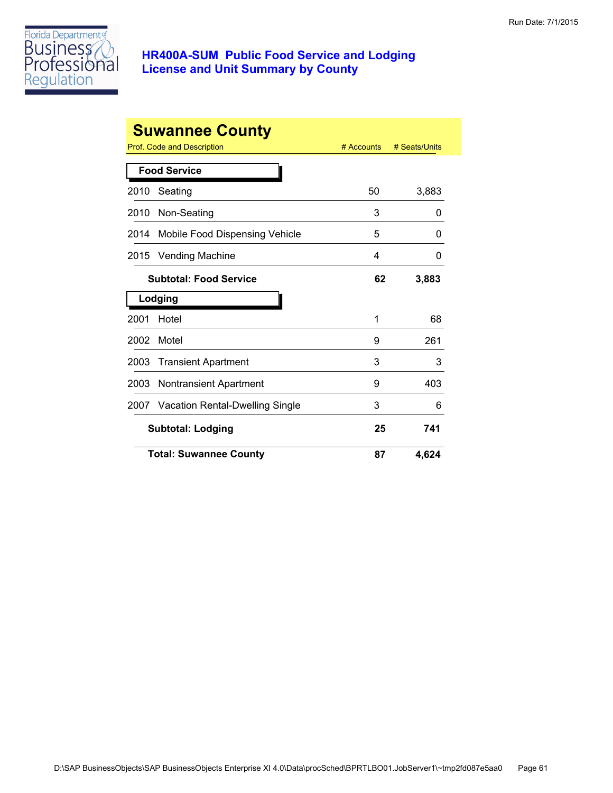

| <b>Suwannee County</b> |                                        |              |               |  |
|------------------------|----------------------------------------|--------------|---------------|--|
|                        | <b>Prof. Code and Description</b>      | $#$ Accounts | # Seats/Units |  |
|                        | <b>Food Service</b>                    |              |               |  |
| 2010                   | Seating                                | 50           | 3,883         |  |
| 2010                   | Non-Seating                            | 3            | 0             |  |
| 2014                   | Mobile Food Dispensing Vehicle         | 5            | 0             |  |
| 2015                   | <b>Vending Machine</b>                 | 4            | 0             |  |
|                        | <b>Subtotal: Food Service</b>          | 62           | 3,883         |  |
| Lodging                |                                        |              |               |  |
| 2001                   | Hotel                                  | 1            | 68            |  |
| 2002                   | Motel                                  | 9            | 261           |  |
| 2003                   | <b>Transient Apartment</b>             | 3            | 3             |  |
| 2003                   | Nontransient Apartment                 | 9            | 403           |  |
| 2007                   | <b>Vacation Rental-Dwelling Single</b> | 3            | 6             |  |
|                        | <b>Subtotal: Lodging</b>               | 25           | 741           |  |
|                        | <b>Total: Suwannee County</b>          | 87           | 4.624         |  |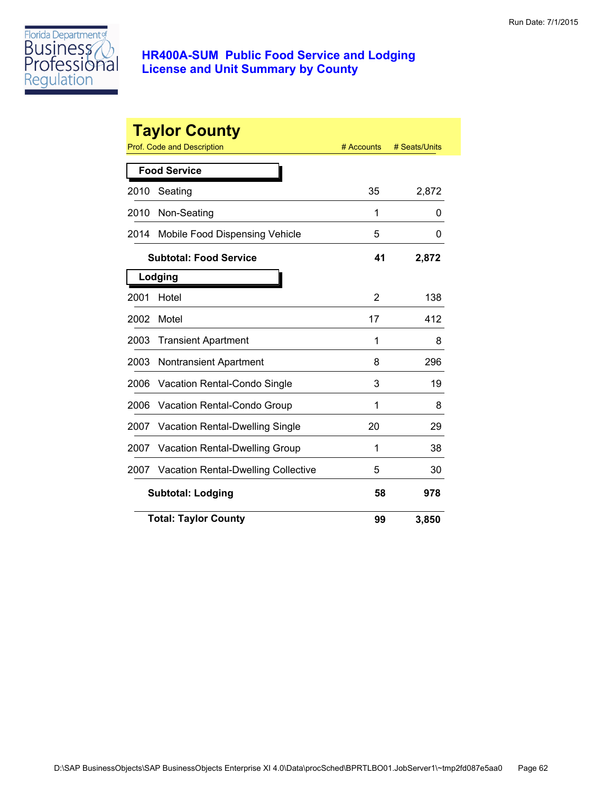

|                          | <b>Taylor County</b><br>Prof. Code and Description | # Accounts | # Seats/Units |
|--------------------------|----------------------------------------------------|------------|---------------|
|                          | <b>Food Service</b>                                |            |               |
| 2010                     | Seating                                            | 35         | 2,872         |
| 2010                     | Non-Seating                                        | 1          | 0             |
| 2014                     | Mobile Food Dispensing Vehicle                     | 5          | 0             |
|                          | <b>Subtotal: Food Service</b>                      | 41         | 2,872         |
|                          | Lodging                                            |            |               |
| 2001                     | Hotel                                              | 2          | 138           |
| 2002                     | Motel                                              | 17         | 412           |
| 2003                     | <b>Transient Apartment</b>                         | 1          | 8             |
| 2003                     | <b>Nontransient Apartment</b>                      | 8          | 296           |
| 2006                     | Vacation Rental-Condo Single                       | 3          | 19            |
| 2006                     | Vacation Rental-Condo Group                        | 1          | 8             |
| 2007                     | <b>Vacation Rental-Dwelling Single</b>             | 20         | 29            |
| 2007                     | <b>Vacation Rental-Dwelling Group</b>              | 1          | 38            |
| 2007                     | <b>Vacation Rental-Dwelling Collective</b>         | 5          | 30            |
| <b>Subtotal: Lodging</b> |                                                    | 58         | 978           |
|                          | <b>Total: Taylor County</b>                        | 99         | 3,850         |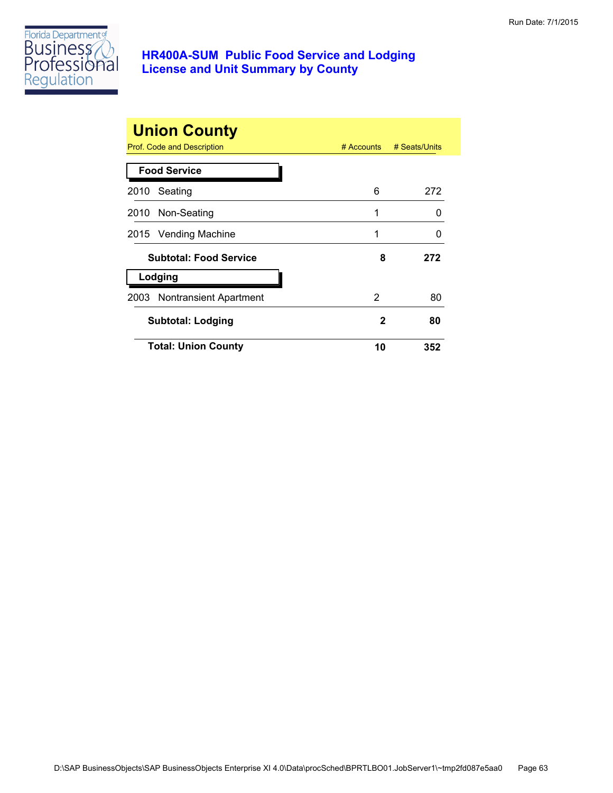

| <b>Union County</b><br>Prof. Code and Description<br>$#$ Accounts<br># Seats/Units |    |     |  |
|------------------------------------------------------------------------------------|----|-----|--|
| <b>Food Service</b>                                                                |    |     |  |
| Seating<br>2010                                                                    | 6  | 272 |  |
| 2010 Non-Seating                                                                   | 1  | O   |  |
| 2015 Vending Machine                                                               | 1  | O   |  |
| <b>Subtotal: Food Service</b>                                                      | 8  | 272 |  |
| Lodging                                                                            |    |     |  |
| 2003 Nontransient Apartment                                                        | 2  | 80  |  |
| Subtotal: Lodging                                                                  | 2  | 80  |  |
| <b>Total: Union County</b>                                                         | 10 | 352 |  |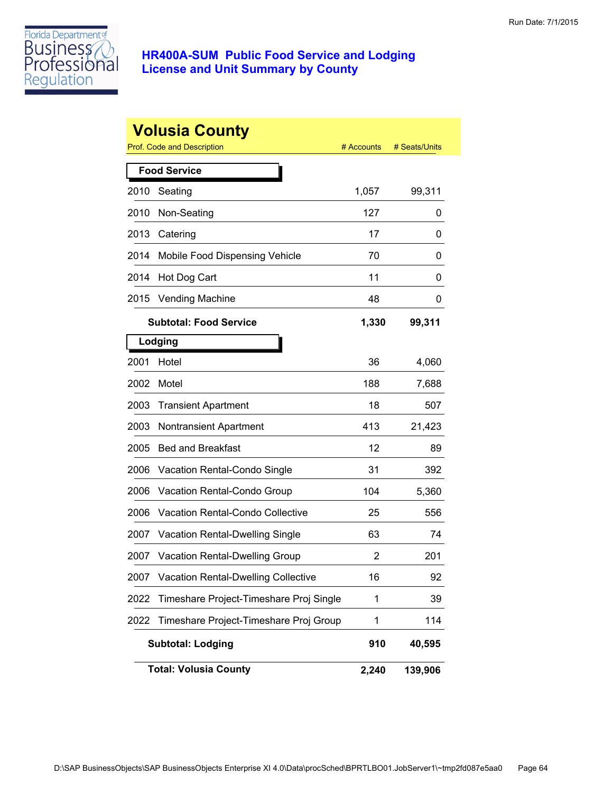

|      | <b>Volusia County</b><br>Prof. Code and Description | # Accounts | # Seats/Units |
|------|-----------------------------------------------------|------------|---------------|
|      | <b>Food Service</b>                                 |            |               |
| 2010 | Seating                                             | 1,057      | 99,311        |
| 2010 | Non-Seating                                         | 127        | 0             |
| 2013 | Catering                                            | 17         | 0             |
| 2014 | Mobile Food Dispensing Vehicle                      | 70         | 0             |
| 2014 | Hot Dog Cart                                        | 11         | 0             |
| 2015 | Vending Machine                                     | 48         | 0             |
|      | <b>Subtotal: Food Service</b>                       | 1,330      | 99,311        |
|      | Lodging                                             |            |               |
| 2001 | Hotel                                               | 36         | 4,060         |
| 2002 | Motel                                               | 188        | 7,688         |
| 2003 | <b>Transient Apartment</b>                          | 18         | 507           |
| 2003 | <b>Nontransient Apartment</b>                       | 413        | 21,423        |
| 2005 | <b>Bed and Breakfast</b>                            | 12         | 89            |
| 2006 | Vacation Rental-Condo Single                        | 31         | 392           |
| 2006 | Vacation Rental-Condo Group                         | 104        | 5,360         |
| 2006 | <b>Vacation Rental-Condo Collective</b>             | 25         | 556           |
| 2007 | <b>Vacation Rental-Dwelling Single</b>              | 63         | 74            |
| 2007 | <b>Vacation Rental-Dwelling Group</b>               | 2          | 201           |
| 2007 | <b>Vacation Rental-Dwelling Collective</b>          | 16         | 92            |
| 2022 | Timeshare Project-Timeshare Proj Single             | 1          | 39            |
| 2022 | Timeshare Project-Timeshare Proj Group              | 1          | 114           |
|      | <b>Subtotal: Lodging</b>                            | 910        | 40,595        |
|      | <b>Total: Volusia County</b>                        | 2,240      | 139,906       |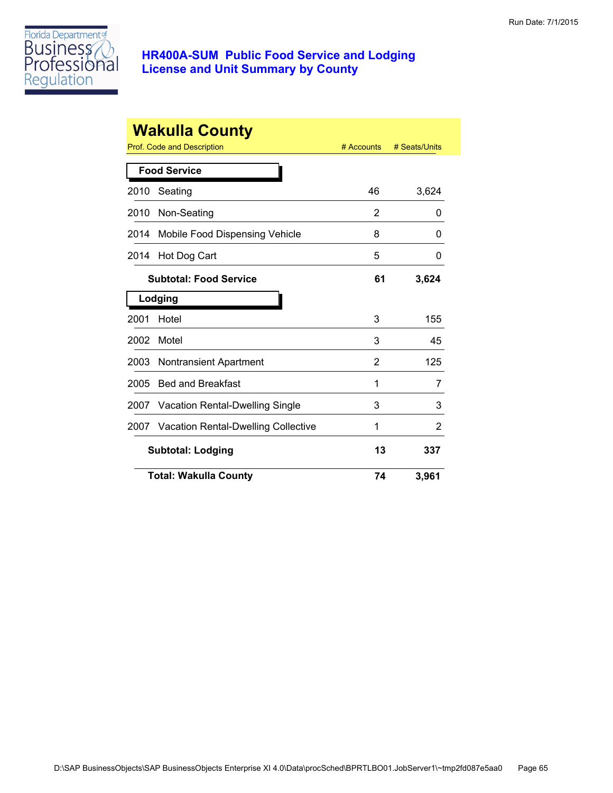

|         | <b>Wakulla County</b><br><b>Prof. Code and Description</b> | # Accounts | # Seats/Units |
|---------|------------------------------------------------------------|------------|---------------|
|         | <b>Food Service</b>                                        |            |               |
| 2010    | Seating                                                    | 46         | 3,624         |
| 2010    | Non-Seating                                                | 2          | 0             |
| 2014    | Mobile Food Dispensing Vehicle                             | 8          | 0             |
| 2014    | Hot Dog Cart                                               | 5          | 0             |
|         | <b>Subtotal: Food Service</b>                              | 61         | 3,624         |
| Lodging |                                                            |            |               |
| 2001    | Hotel                                                      | 3          | 155           |
| 2002    | Motel                                                      | 3          | 45            |
| 2003    | <b>Nontransient Apartment</b>                              | 2          | 125           |
| 2005    | <b>Bed and Breakfast</b>                                   | 1          | 7             |
| 2007    | <b>Vacation Rental-Dwelling Single</b>                     | 3          | 3             |
| 2007    | <b>Vacation Rental-Dwelling Collective</b>                 | 1          | 2             |
|         | <b>Subtotal: Lodging</b>                                   | 13         | 337           |
|         | <b>Total: Wakulla County</b>                               | 74         | 3,961         |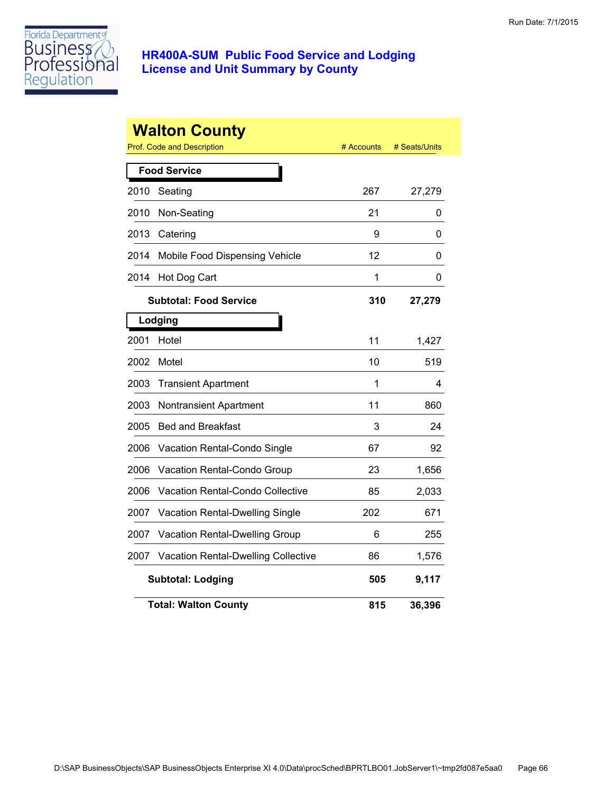

|      | <b>Walton County</b><br><b>Prof. Code and Description</b> | # Accounts | # Seats/Units |
|------|-----------------------------------------------------------|------------|---------------|
|      | <b>Food Service</b>                                       |            |               |
| 2010 | Seating                                                   | 267        | 27,279        |
| 2010 | Non-Seating                                               | 21         | 0             |
| 2013 | Catering                                                  | 9          | 0             |
| 2014 | Mobile Food Dispensing Vehicle                            | 12         | 0             |
| 2014 | Hot Dog Cart                                              | 1          | 0             |
|      | <b>Subtotal: Food Service</b>                             | 310        | 27,279        |
|      | Lodging                                                   |            |               |
| 2001 | Hotel                                                     | 11         | 1,427         |
| 2002 | Motel                                                     | 10         | 519           |
| 2003 | <b>Transient Apartment</b>                                | 1          | 4             |
| 2003 | Nontransient Apartment                                    | 11         | 860           |
| 2005 | <b>Bed and Breakfast</b>                                  | 3          | 24            |
| 2006 | Vacation Rental-Condo Single                              | 67         | 92            |
| 2006 | Vacation Rental-Condo Group                               | 23         | 1,656         |
| 2006 | <b>Vacation Rental-Condo Collective</b>                   | 85         | 2,033         |
| 2007 | Vacation Rental-Dwelling Single                           | 202        | 671           |
| 2007 | Vacation Rental-Dwelling Group                            | 6          | 255           |
| 2007 | <b>Vacation Rental-Dwelling Collective</b>                | 86         | 1,576         |
|      | <b>Subtotal: Lodging</b>                                  | 505        | 9,117         |
|      | <b>Total: Walton County</b>                               | 815        | 36,396        |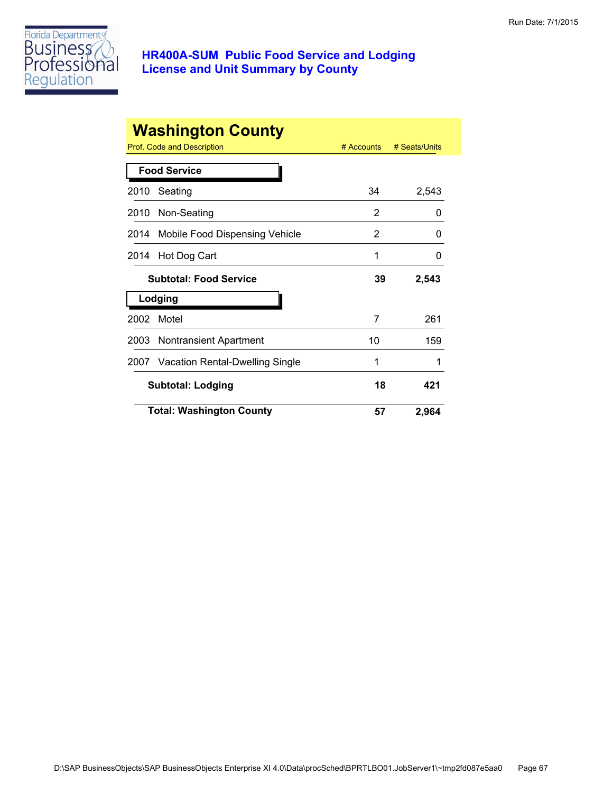

|      | <b>Washington County</b>             |            |               |
|------|--------------------------------------|------------|---------------|
|      | <b>Prof. Code and Description</b>    | # Accounts | # Seats/Units |
|      | <b>Food Service</b>                  |            |               |
| 2010 | Seating                              | 34         | 2,543         |
| 2010 | Non-Seating                          | 2          | 0             |
| 2014 | Mobile Food Dispensing Vehicle       | 2          | 0             |
| 2014 | Hot Dog Cart                         | 1          | ი             |
|      | <b>Subtotal: Food Service</b>        | 39         | 2,543         |
|      | Lodging                              |            |               |
| 2002 | Motel                                | 7          | 261           |
| 2003 | <b>Nontransient Apartment</b>        | 10         | 159           |
|      | 2007 Vacation Rental-Dwelling Single | 1          |               |
|      | <b>Subtotal: Lodging</b>             | 18         | 421           |
|      | <b>Total: Washington County</b>      | 57         | 2,964         |